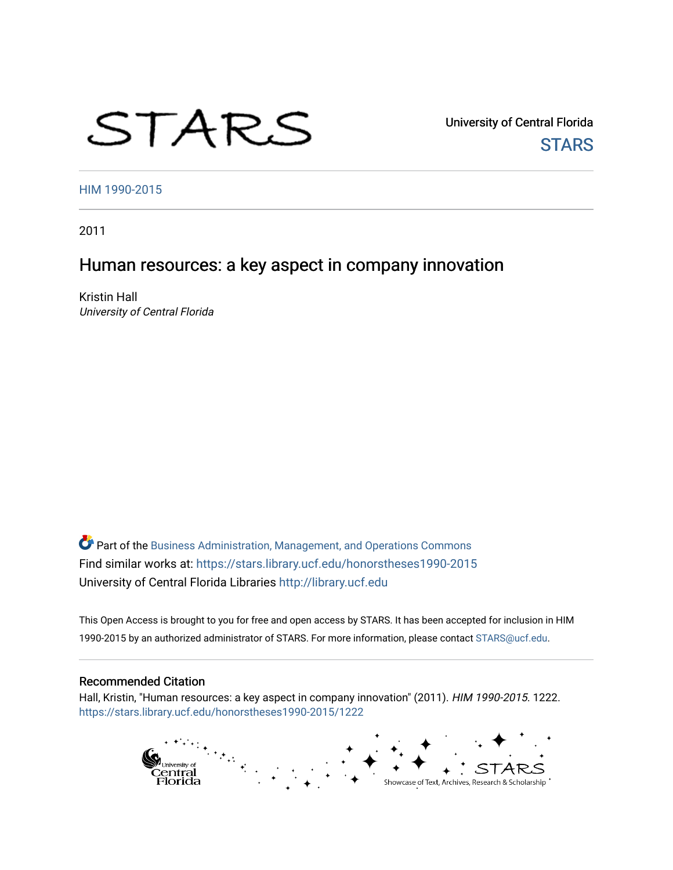# STARS

University of Central Florida **STARS** 

[HIM 1990-2015](https://stars.library.ucf.edu/honorstheses1990-2015) 

2011

# Human resources: a key aspect in company innovation

Kristin Hall University of Central Florida

Part of the [Business Administration, Management, and Operations Commons](http://network.bepress.com/hgg/discipline/623?utm_source=stars.library.ucf.edu%2Fhonorstheses1990-2015%2F1222&utm_medium=PDF&utm_campaign=PDFCoverPages) Find similar works at: <https://stars.library.ucf.edu/honorstheses1990-2015> University of Central Florida Libraries [http://library.ucf.edu](http://library.ucf.edu/) 

This Open Access is brought to you for free and open access by STARS. It has been accepted for inclusion in HIM 1990-2015 by an authorized administrator of STARS. For more information, please contact [STARS@ucf.edu](mailto:STARS@ucf.edu).

#### Recommended Citation

Hall, Kristin, "Human resources: a key aspect in company innovation" (2011). HIM 1990-2015. 1222. [https://stars.library.ucf.edu/honorstheses1990-2015/1222](https://stars.library.ucf.edu/honorstheses1990-2015/1222?utm_source=stars.library.ucf.edu%2Fhonorstheses1990-2015%2F1222&utm_medium=PDF&utm_campaign=PDFCoverPages) 

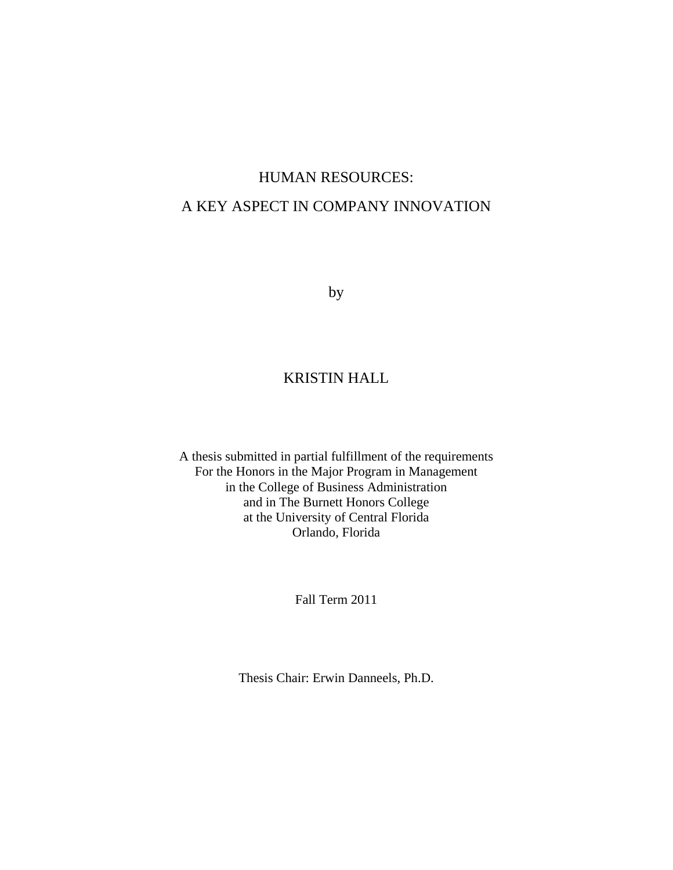# HUMAN RESOURCES: A KEY ASPECT IN COMPANY INNOVATION

by

# KRISTIN HALL

A thesis submitted in partial fulfillment of the requirements For the Honors in the Major Program in Management in the College of Business Administration and in The Burnett Honors College at the University of Central Florida Orlando, Florida

Fall Term 2011

Thesis Chair: Erwin Danneels, Ph.D.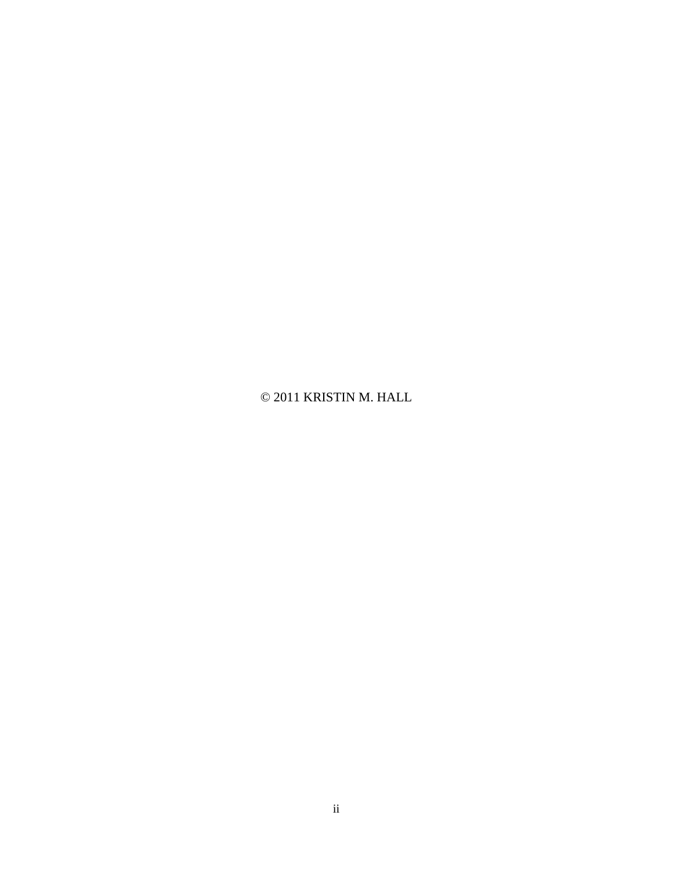© 2011 KRISTIN M. HALL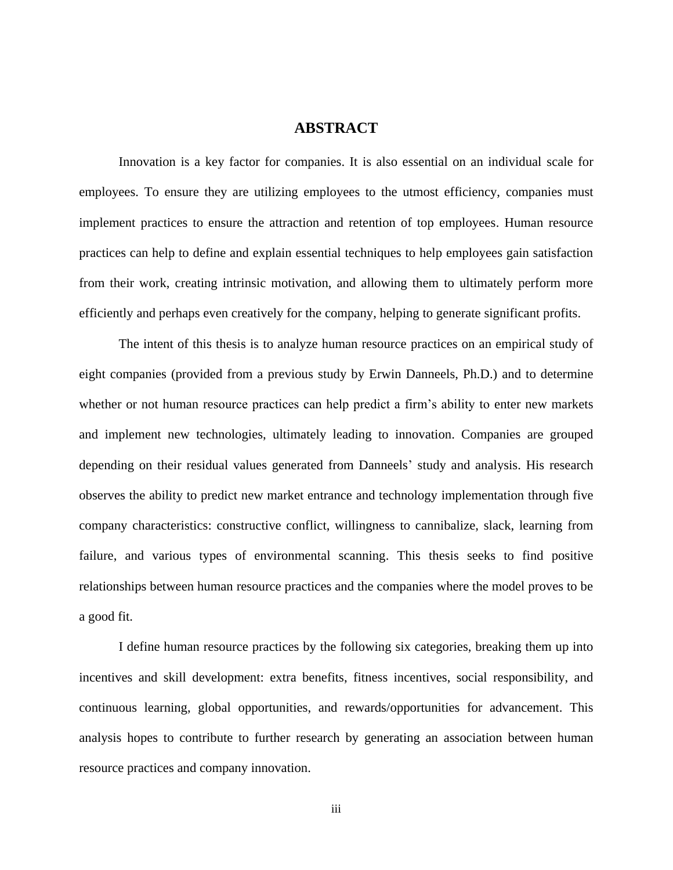## **ABSTRACT**

Innovation is a key factor for companies. It is also essential on an individual scale for employees. To ensure they are utilizing employees to the utmost efficiency, companies must implement practices to ensure the attraction and retention of top employees. Human resource practices can help to define and explain essential techniques to help employees gain satisfaction from their work, creating intrinsic motivation, and allowing them to ultimately perform more efficiently and perhaps even creatively for the company, helping to generate significant profits.

The intent of this thesis is to analyze human resource practices on an empirical study of eight companies (provided from a previous study by Erwin Danneels, Ph.D.) and to determine whether or not human resource practices can help predict a firm's ability to enter new markets and implement new technologies, ultimately leading to innovation. Companies are grouped depending on their residual values generated from Danneels" study and analysis. His research observes the ability to predict new market entrance and technology implementation through five company characteristics: constructive conflict, willingness to cannibalize, slack, learning from failure, and various types of environmental scanning. This thesis seeks to find positive relationships between human resource practices and the companies where the model proves to be a good fit.

I define human resource practices by the following six categories, breaking them up into incentives and skill development: extra benefits, fitness incentives, social responsibility, and continuous learning, global opportunities, and rewards/opportunities for advancement. This analysis hopes to contribute to further research by generating an association between human resource practices and company innovation.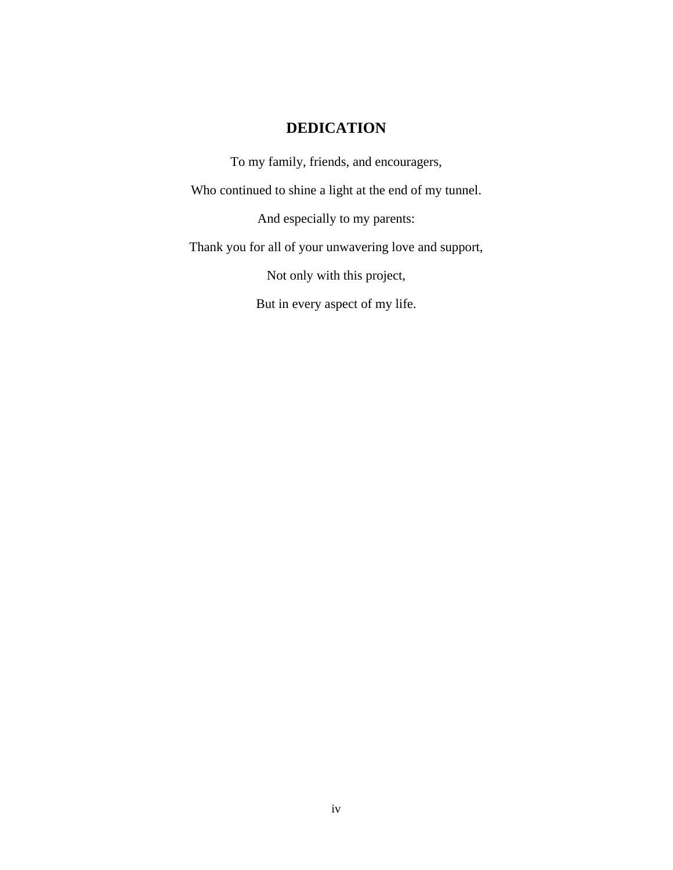# **DEDICATION**

To my family, friends, and encouragers, Who continued to shine a light at the end of my tunnel. And especially to my parents: Thank you for all of your unwavering love and support, Not only with this project,

But in every aspect of my life.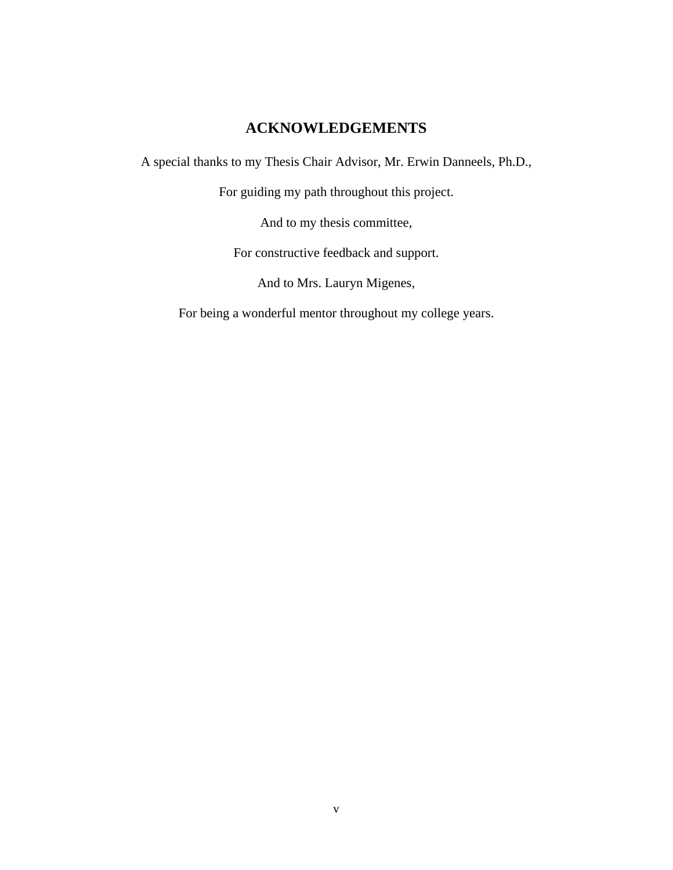# **ACKNOWLEDGEMENTS**

A special thanks to my Thesis Chair Advisor, Mr. Erwin Danneels, Ph.D.,

For guiding my path throughout this project.

And to my thesis committee,

For constructive feedback and support.

And to Mrs. Lauryn Migenes,

For being a wonderful mentor throughout my college years.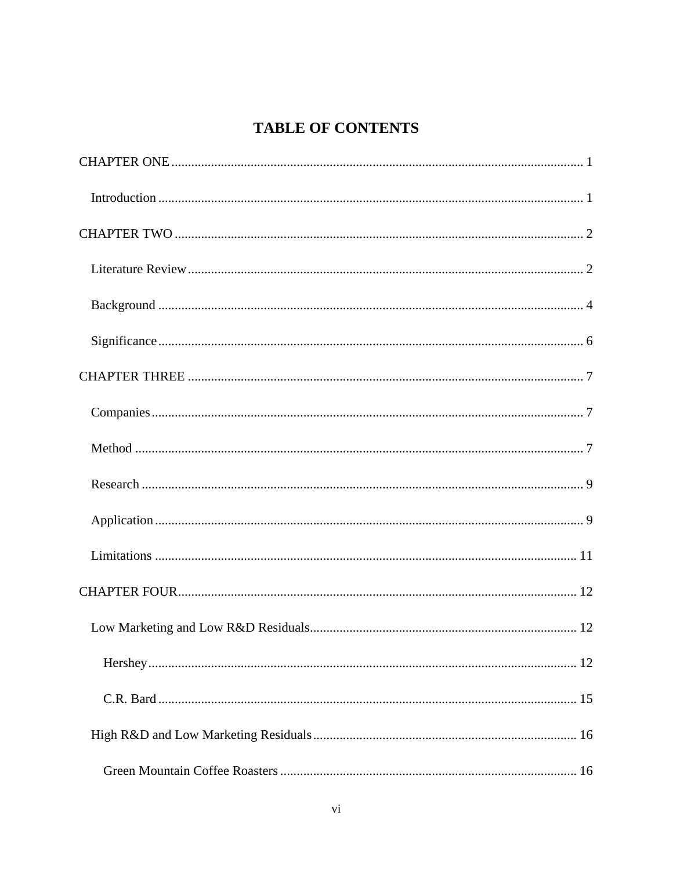# **TABLE OF CONTENTS**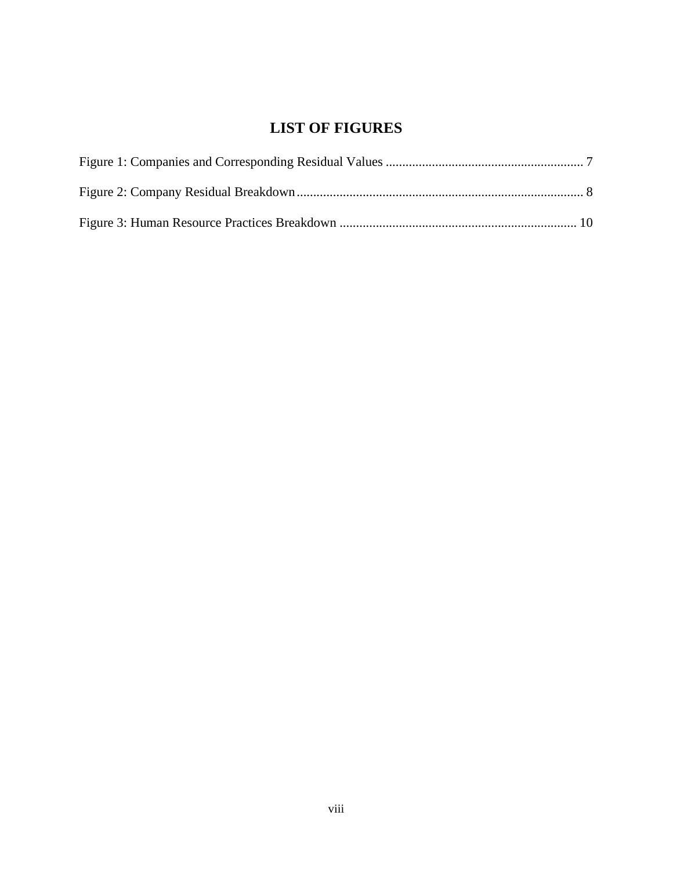# **LIST OF FIGURES**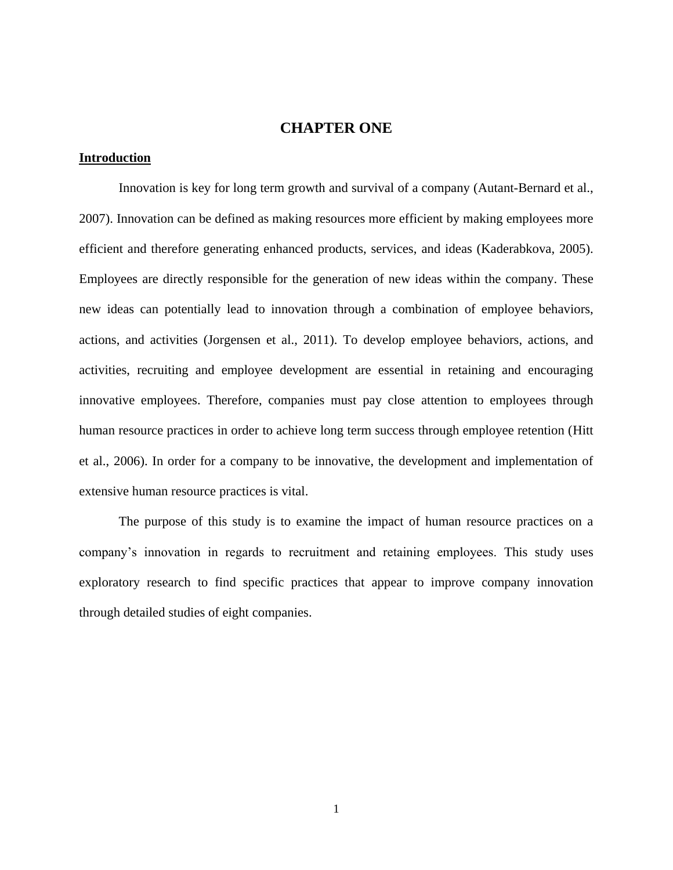# **CHAPTER ONE**

## <span id="page-9-1"></span><span id="page-9-0"></span>**Introduction**

Innovation is key for long term growth and survival of a company (Autant-Bernard et al., 2007). Innovation can be defined as making resources more efficient by making employees more efficient and therefore generating enhanced products, services, and ideas (Kaderabkova, 2005). Employees are directly responsible for the generation of new ideas within the company. These new ideas can potentially lead to innovation through a combination of employee behaviors, actions, and activities (Jorgensen et al., 2011). To develop employee behaviors, actions, and activities, recruiting and employee development are essential in retaining and encouraging innovative employees. Therefore, companies must pay close attention to employees through human resource practices in order to achieve long term success through employee retention (Hitt et al., 2006). In order for a company to be innovative, the development and implementation of extensive human resource practices is vital.

The purpose of this study is to examine the impact of human resource practices on a company"s innovation in regards to recruitment and retaining employees. This study uses exploratory research to find specific practices that appear to improve company innovation through detailed studies of eight companies.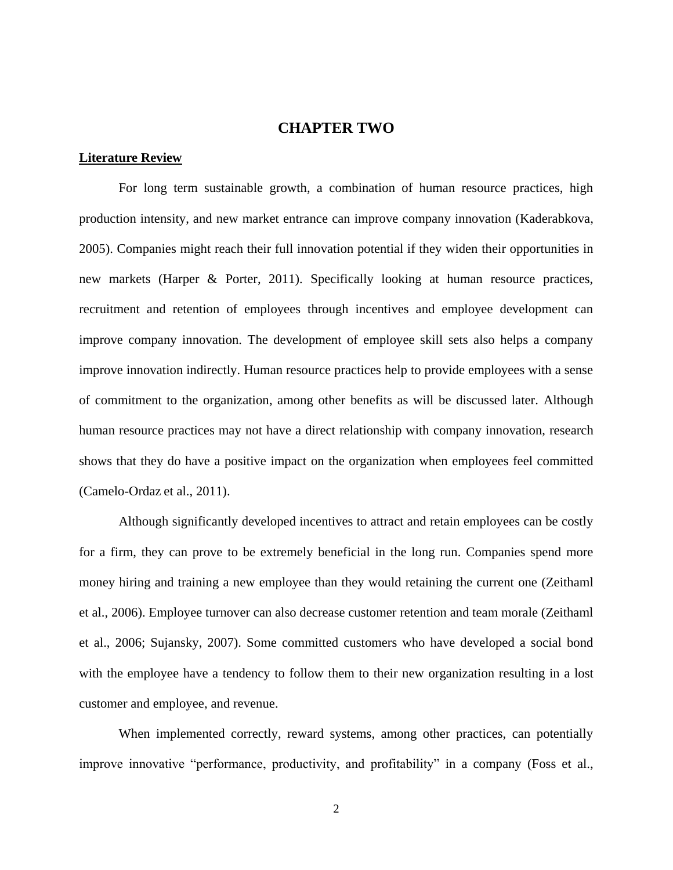### **CHAPTER TWO**

#### <span id="page-10-1"></span><span id="page-10-0"></span>**Literature Review**

For long term sustainable growth, a combination of human resource practices, high production intensity, and new market entrance can improve company innovation (Kaderabkova, 2005). Companies might reach their full innovation potential if they widen their opportunities in new markets (Harper & Porter, 2011). Specifically looking at human resource practices, recruitment and retention of employees through incentives and employee development can improve company innovation. The development of employee skill sets also helps a company improve innovation indirectly. Human resource practices help to provide employees with a sense of commitment to the organization, among other benefits as will be discussed later. Although human resource practices may not have a direct relationship with company innovation, research shows that they do have a positive impact on the organization when employees feel committed [\(Camelo-Ordaz](http://search.proquest.com.ezproxy.lib.ucf.edu/docview.lateralsearchlink:lateralsearch/sng/author/Camelo-Ordaz,+Carmen/$N?t:ac=865749197/130F1EE3FB92CAA51EC/2&t:cp=maintain/resultcitationblocks) et al., 2011).

Although significantly developed incentives to attract and retain employees can be costly for a firm, they can prove to be extremely beneficial in the long run. Companies spend more money hiring and training a new employee than they would retaining the current one (Zeithaml et al., 2006). Employee turnover can also decrease customer retention and team morale (Zeithaml et al., 2006; Sujansky, 2007). Some committed customers who have developed a social bond with the employee have a tendency to follow them to their new organization resulting in a lost customer and employee, and revenue.

When implemented correctly, reward systems, among other practices, can potentially improve innovative "performance, productivity, and profitability" in a company (Foss et al.,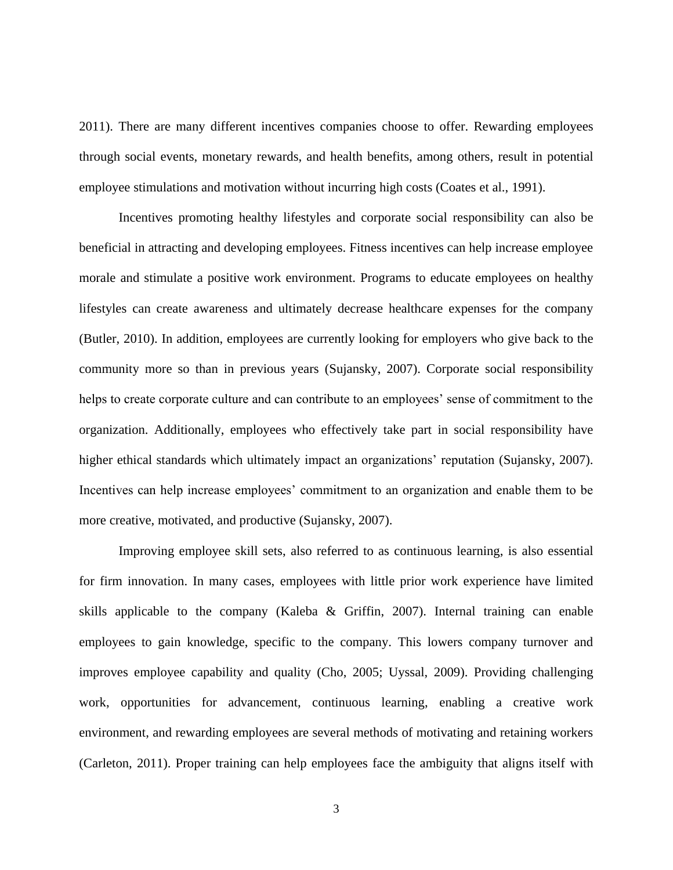2011). There are many different incentives companies choose to offer. Rewarding employees through social events, monetary rewards, and health benefits, among others, result in potential employee stimulations and motivation without incurring high costs (Coates et al., 1991).

Incentives promoting healthy lifestyles and corporate social responsibility can also be beneficial in attracting and developing employees. Fitness incentives can help increase employee morale and stimulate a positive work environment. Programs to educate employees on healthy lifestyles can create awareness and ultimately decrease healthcare expenses for the company (Butler, 2010). In addition, employees are currently looking for employers who give back to the community more so than in previous years (Sujansky, 2007). Corporate social responsibility helps to create corporate culture and can contribute to an employees' sense of commitment to the organization. Additionally, employees who effectively take part in social responsibility have higher ethical standards which ultimately impact an organizations' reputation (Sujansky, 2007). Incentives can help increase employees' commitment to an organization and enable them to be more creative, motivated, and productive (Sujansky, 2007).

Improving employee skill sets, also referred to as continuous learning, is also essential for firm innovation. In many cases, employees with little prior work experience have limited skills applicable to the company [\(Kaleba &](http://search.proquest.com.ezproxy.lib.ucf.edu/docview.lateralsearchlink:lateralsearch/sng/author/Kaleba,+Kermit/$N?t:ac=227028457/130F281E5143084C7F8/1&t:cp=maintain/resultcitationblocks) Griffin, 2007). Internal training can enable employees to gain knowledge, specific to the company. This lowers company turnover and improves employee capability and quality (Cho, 2005; Uyssal, 2009). Providing challenging work, opportunities for advancement, continuous learning, enabling a creative work environment, and rewarding employees are several methods of motivating and retaining workers [\(Carleton,](http://search.proquest.com.ezproxy.lib.ucf.edu/docview.lateralsearchlink:lateralsearch/sng/author/Carleton,+Karen/$N?t:ac=870514210/130F281E5143084C7F8/5&t:cp=maintain/resultcitationblocks) 2011). Proper training can help employees face the ambiguity that aligns itself with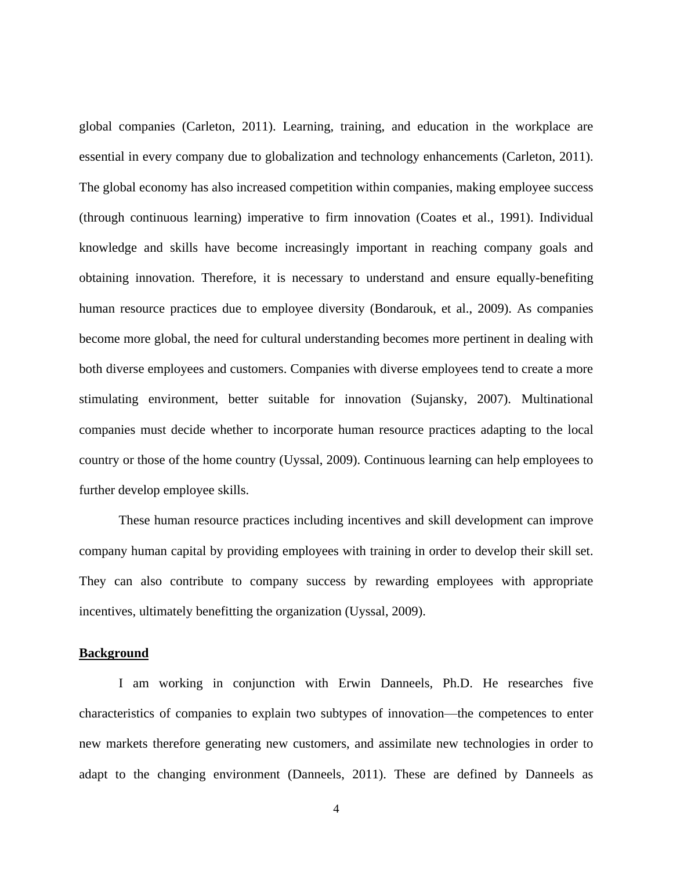global companies (Carleton, 2011). Learning, training, and education in the workplace are essential in every company due to globalization and technology enhancements (Carleton, 2011). The global economy has also increased competition within companies, making employee success (through continuous learning) imperative to firm innovation (Coates et al., 1991). Individual knowledge and skills have become increasingly important in reaching company goals and obtaining innovation. Therefore, it is necessary to understand and ensure equally-benefiting human resource practices due to employee diversity [\(Bondarouk, e](http://search.proquest.com.ezproxy.lib.ucf.edu/docview.lateralsearchlink:lateralsearch/sng/author/Bondarouk,+Tanya/$N?t:ac=214796751/130F1EE3FB92CAA51EC/11&t:cp=maintain/resultcitationblocks)t al., 2009). As companies become more global, the need for cultural understanding becomes more pertinent in dealing with both diverse employees and customers. Companies with diverse employees tend to create a more stimulating environment, better suitable for innovation (Sujansky, 2007). Multinational companies must decide whether to incorporate human resource practices adapting to the local country or those of the home country (Uyssal, 2009). Continuous learning can help employees to further develop employee skills.

These human resource practices including incentives and skill development can improve company human capital by providing employees with training in order to develop their skill set. They can also contribute to company success by rewarding employees with appropriate incentives, ultimately benefitting the organization (Uyssal, 2009).

#### <span id="page-12-0"></span>**Background**

I am working in conjunction with Erwin Danneels, Ph.D. He researches five characteristics of companies to explain two subtypes of innovation—the competences to enter new markets therefore generating new customers, and assimilate new technologies in order to adapt to the changing environment (Danneels, 2011). These are defined by Danneels as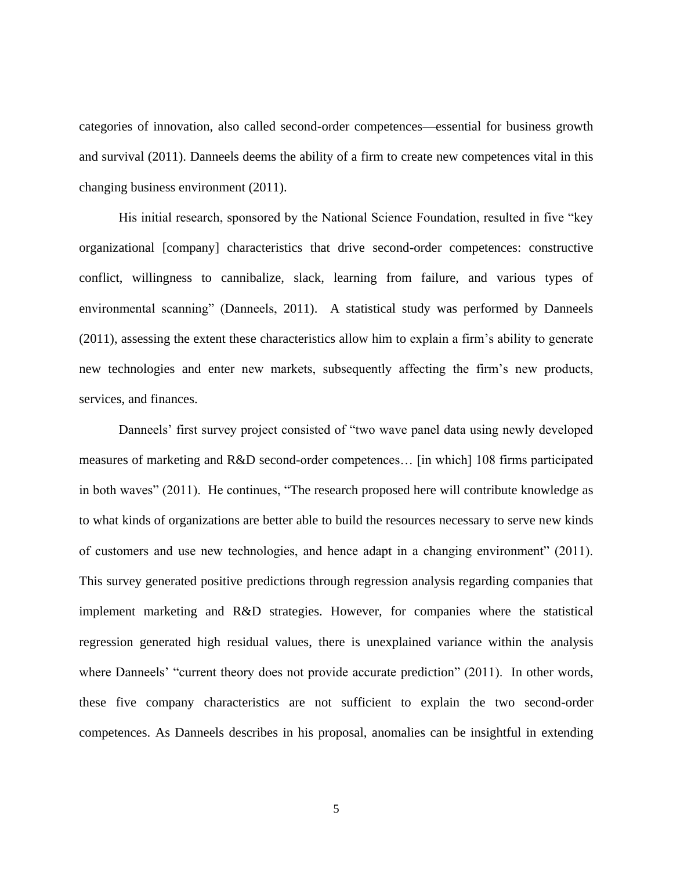categories of innovation, also called second-order competences—essential for business growth and survival (2011). Danneels deems the ability of a firm to create new competences vital in this changing business environment (2011).

His initial research, sponsored by the National Science Foundation, resulted in five "key organizational [company] characteristics that drive second-order competences: constructive conflict, willingness to cannibalize, slack, learning from failure, and various types of environmental scanning" (Danneels, 2011). A statistical study was performed by Danneels (2011), assessing the extent these characteristics allow him to explain a firm"s ability to generate new technologies and enter new markets, subsequently affecting the firm"s new products, services, and finances.

Danneels' first survey project consisted of "two wave panel data using newly developed measures of marketing and R&D second-order competences… [in which] 108 firms participated in both waves" (2011). He continues, "The research proposed here will contribute knowledge as to what kinds of organizations are better able to build the resources necessary to serve new kinds of customers and use new technologies, and hence adapt in a changing environment" (2011). This survey generated positive predictions through regression analysis regarding companies that implement marketing and R&D strategies. However, for companies where the statistical regression generated high residual values, there is unexplained variance within the analysis where Danneels' "current theory does not provide accurate prediction" (2011). In other words, these five company characteristics are not sufficient to explain the two second-order competences. As Danneels describes in his proposal, anomalies can be insightful in extending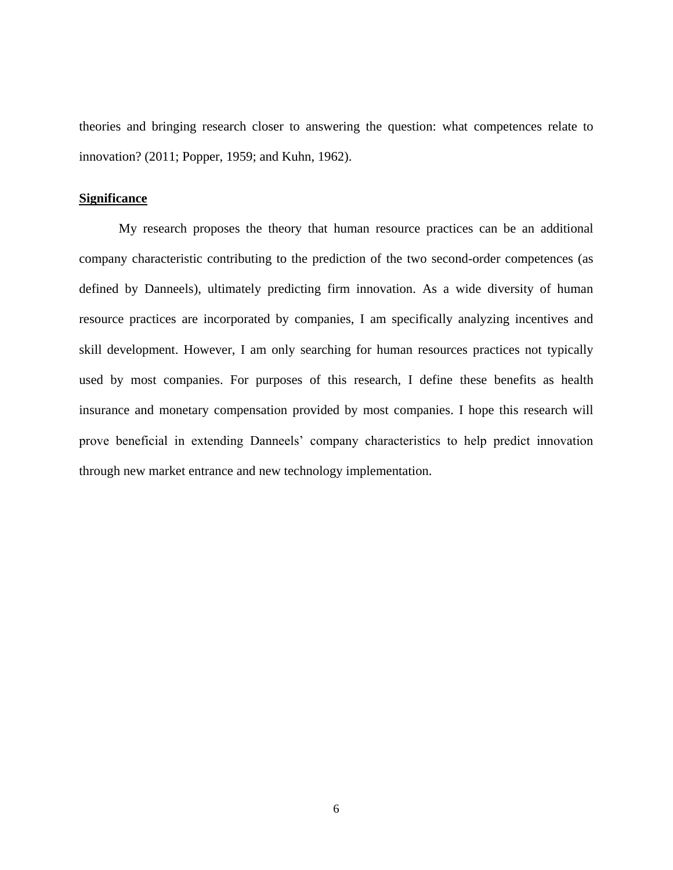theories and bringing research closer to answering the question: what competences relate to innovation? (2011; Popper, 1959; and Kuhn, 1962).

#### <span id="page-14-0"></span>**Significance**

My research proposes the theory that human resource practices can be an additional company characteristic contributing to the prediction of the two second-order competences (as defined by Danneels), ultimately predicting firm innovation. As a wide diversity of human resource practices are incorporated by companies, I am specifically analyzing incentives and skill development. However, I am only searching for human resources practices not typically used by most companies. For purposes of this research, I define these benefits as health insurance and monetary compensation provided by most companies. I hope this research will prove beneficial in extending Danneels" company characteristics to help predict innovation through new market entrance and new technology implementation.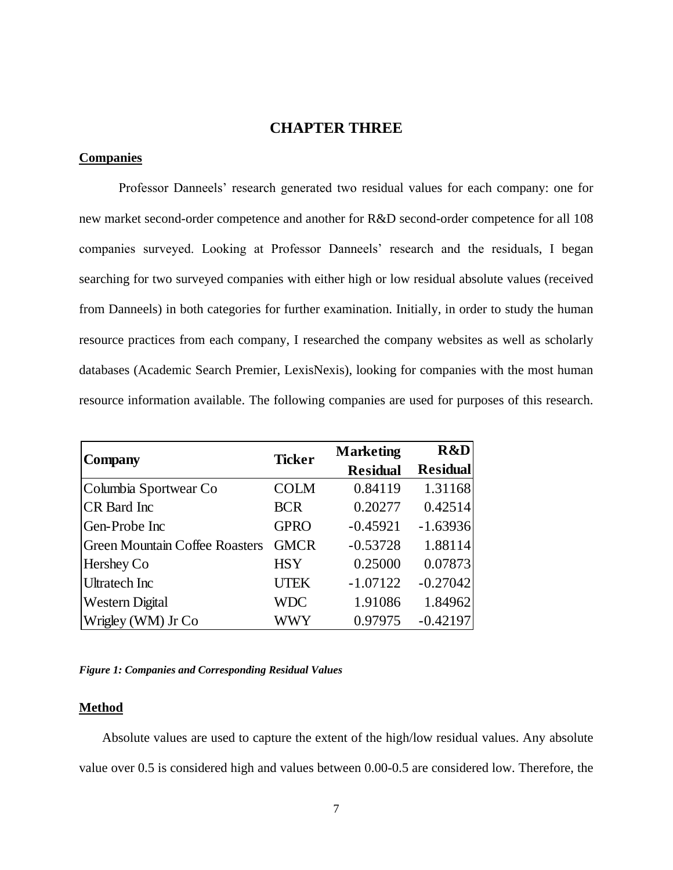# **CHAPTER THREE**

## <span id="page-15-1"></span><span id="page-15-0"></span>**Companies**

Professor Danneels" research generated two residual values for each company: one for new market second-order competence and another for R&D second-order competence for all 108 companies surveyed. Looking at Professor Danneels" research and the residuals, I began searching for two surveyed companies with either high or low residual absolute values (received from Danneels) in both categories for further examination. Initially, in order to study the human resource practices from each company, I researched the company websites as well as scholarly databases (Academic Search Premier, LexisNexis), looking for companies with the most human resource information available. The following companies are used for purposes of this research.

| <b>Company</b>                        | <b>Ticker</b> | <b>Marketing</b> | R&D             |
|---------------------------------------|---------------|------------------|-----------------|
|                                       |               | <b>Residual</b>  | <b>Residual</b> |
| Columbia Sportwear Co                 | <b>COLM</b>   | 0.84119          | 1.31168         |
| <b>CR</b> Bard Inc                    | <b>BCR</b>    | 0.20277          | 0.42514         |
| Gen-Probe Inc                         | <b>GPRO</b>   | $-0.45921$       | $-1.63936$      |
| <b>Green Mountain Coffee Roasters</b> | <b>GMCR</b>   | $-0.53728$       | 1.88114         |
| Hershey Co                            | <b>HSY</b>    | 0.25000          | 0.07873         |
| <b>Ultratech Inc</b>                  | <b>UTEK</b>   | $-1.07122$       | $-0.27042$      |
| <b>Western Digital</b>                | <b>WDC</b>    | 1.91086          | 1.84962         |
| Wrigley (WM) Jr Co                    | WWY           | 0.97975          | $-0.42197$      |

<span id="page-15-3"></span>*Figure 1: Companies and Corresponding Residual Values*

#### <span id="page-15-2"></span>**Method**

Absolute values are used to capture the extent of the high/low residual values. Any absolute value over 0.5 is considered high and values between 0.00-0.5 are considered low. Therefore, the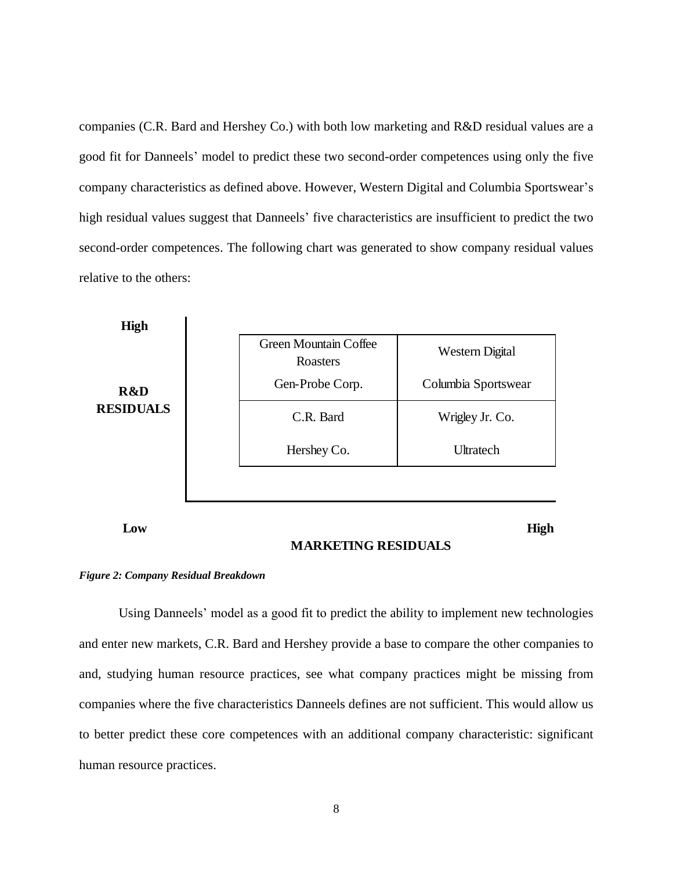companies (C.R. Bard and Hershey Co.) with both low marketing and R&D residual values are a good fit for Danneels" model to predict these two second-order competences using only the five company characteristics as defined above. However, Western Digital and Columbia Sportswear"s high residual values suggest that Danneels' five characteristics are insufficient to predict the two second-order competences. The following chart was generated to show company residual values relative to the others:



**Low**

**High**

#### **MARKETING RESIDUALS**

#### <span id="page-16-0"></span>*Figure 2: Company Residual Breakdown*

Using Danneels' model as a good fit to predict the ability to implement new technologies and enter new markets, C.R. Bard and Hershey provide a base to compare the other companies to and, studying human resource practices, see what company practices might be missing from companies where the five characteristics Danneels defines are not sufficient. This would allow us to better predict these core competences with an additional company characteristic: significant human resource practices.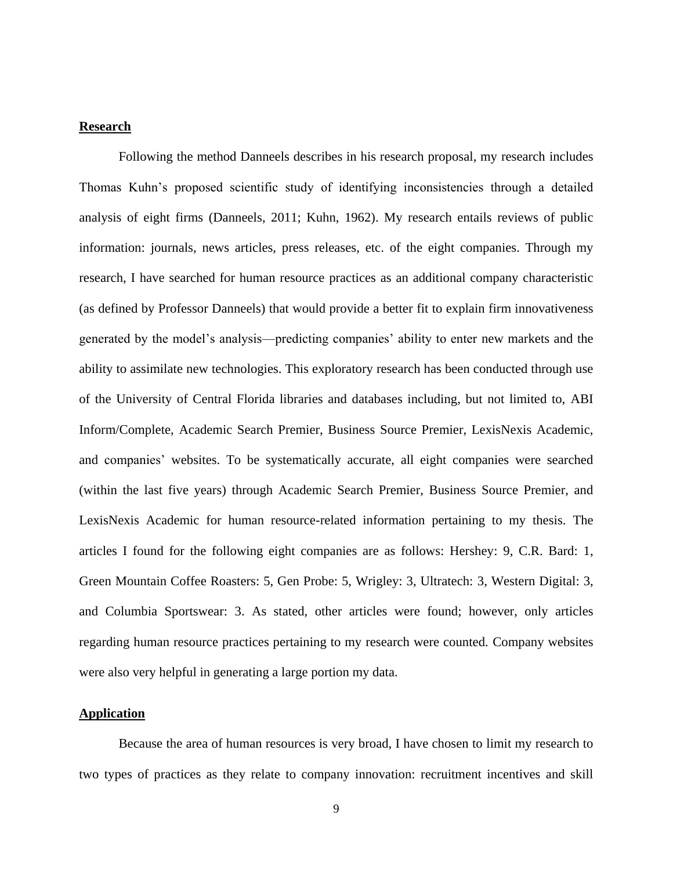#### <span id="page-17-0"></span>**Research**

Following the method Danneels describes in his research proposal, my research includes Thomas Kuhn"s proposed scientific study of identifying inconsistencies through a detailed analysis of eight firms (Danneels, 2011; Kuhn, 1962). My research entails reviews of public information: journals, news articles, press releases, etc. of the eight companies. Through my research, I have searched for human resource practices as an additional company characteristic (as defined by Professor Danneels) that would provide a better fit to explain firm innovativeness generated by the model"s analysis—predicting companies" ability to enter new markets and the ability to assimilate new technologies. This exploratory research has been conducted through use of the University of Central Florida libraries and databases including, but not limited to, ABI Inform/Complete, Academic Search Premier, Business Source Premier, LexisNexis Academic, and companies' websites. To be systematically accurate, all eight companies were searched (within the last five years) through Academic Search Premier, Business Source Premier, and LexisNexis Academic for human resource-related information pertaining to my thesis. The articles I found for the following eight companies are as follows: Hershey: 9, C.R. Bard: 1, Green Mountain Coffee Roasters: 5, Gen Probe: 5, Wrigley: 3, Ultratech: 3, Western Digital: 3, and Columbia Sportswear: 3. As stated, other articles were found; however, only articles regarding human resource practices pertaining to my research were counted. Company websites were also very helpful in generating a large portion my data.

#### <span id="page-17-1"></span>**Application**

Because the area of human resources is very broad, I have chosen to limit my research to two types of practices as they relate to company innovation: recruitment incentives and skill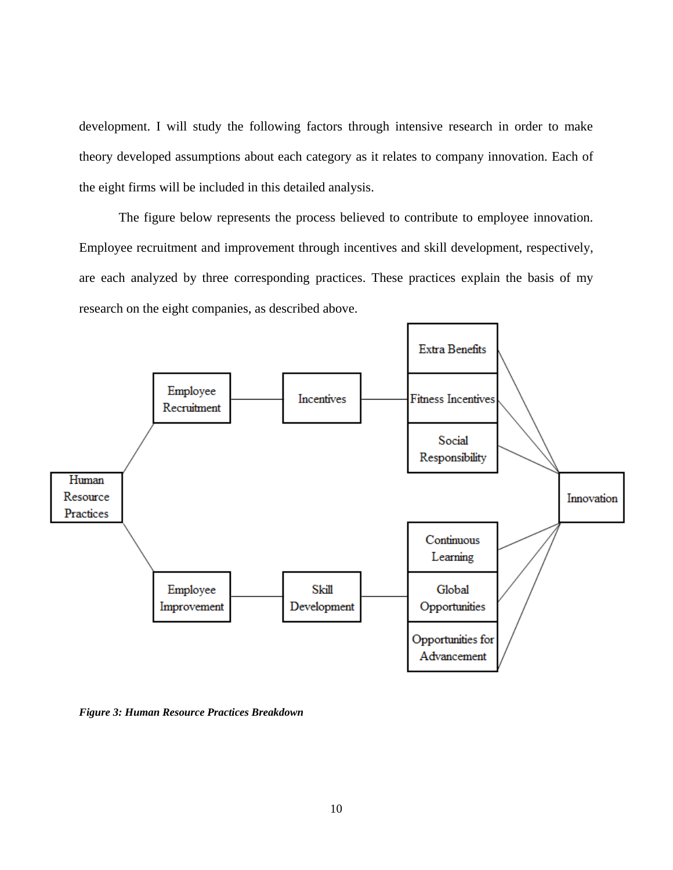development. I will study the following factors through intensive research in order to make theory developed assumptions about each category as it relates to company innovation. Each of the eight firms will be included in this detailed analysis.

The figure below represents the process believed to contribute to employee innovation. Employee recruitment and improvement through incentives and skill development, respectively, are each analyzed by three corresponding practices. These practices explain the basis of my research on the eight companies, as described above.



<span id="page-18-0"></span>*Figure 3: Human Resource Practices Breakdown*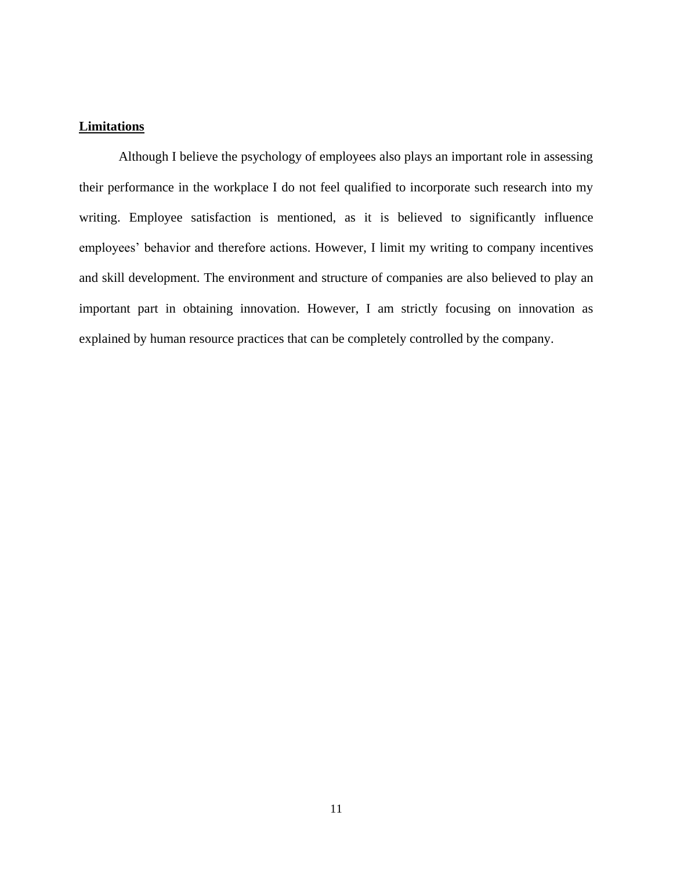# <span id="page-19-0"></span>**Limitations**

Although I believe the psychology of employees also plays an important role in assessing their performance in the workplace I do not feel qualified to incorporate such research into my writing. Employee satisfaction is mentioned, as it is believed to significantly influence employees' behavior and therefore actions. However, I limit my writing to company incentives and skill development. The environment and structure of companies are also believed to play an important part in obtaining innovation. However, I am strictly focusing on innovation as explained by human resource practices that can be completely controlled by the company.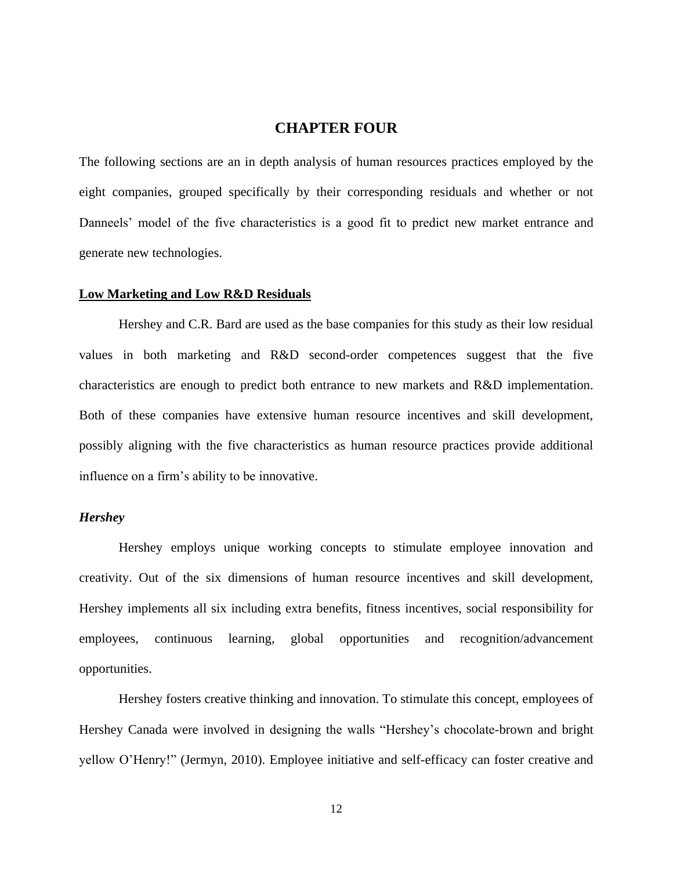## **CHAPTER FOUR**

<span id="page-20-0"></span>The following sections are an in depth analysis of human resources practices employed by the eight companies, grouped specifically by their corresponding residuals and whether or not Danneels' model of the five characteristics is a good fit to predict new market entrance and generate new technologies.

#### <span id="page-20-1"></span>**Low Marketing and Low R&D Residuals**

Hershey and C.R. Bard are used as the base companies for this study as their low residual values in both marketing and R&D second-order competences suggest that the five characteristics are enough to predict both entrance to new markets and R&D implementation. Both of these companies have extensive human resource incentives and skill development, possibly aligning with the five characteristics as human resource practices provide additional influence on a firm"s ability to be innovative.

#### <span id="page-20-2"></span>*Hershey*

Hershey employs unique working concepts to stimulate employee innovation and creativity. Out of the six dimensions of human resource incentives and skill development, Hershey implements all six including extra benefits, fitness incentives, social responsibility for employees, continuous learning, global opportunities and recognition/advancement opportunities.

Hershey fosters creative thinking and innovation. To stimulate this concept, employees of Hershey Canada were involved in designing the walls "Hershey"s chocolate-brown and bright yellow O"Henry!" (Jermyn, 2010). Employee initiative and self-efficacy can foster creative and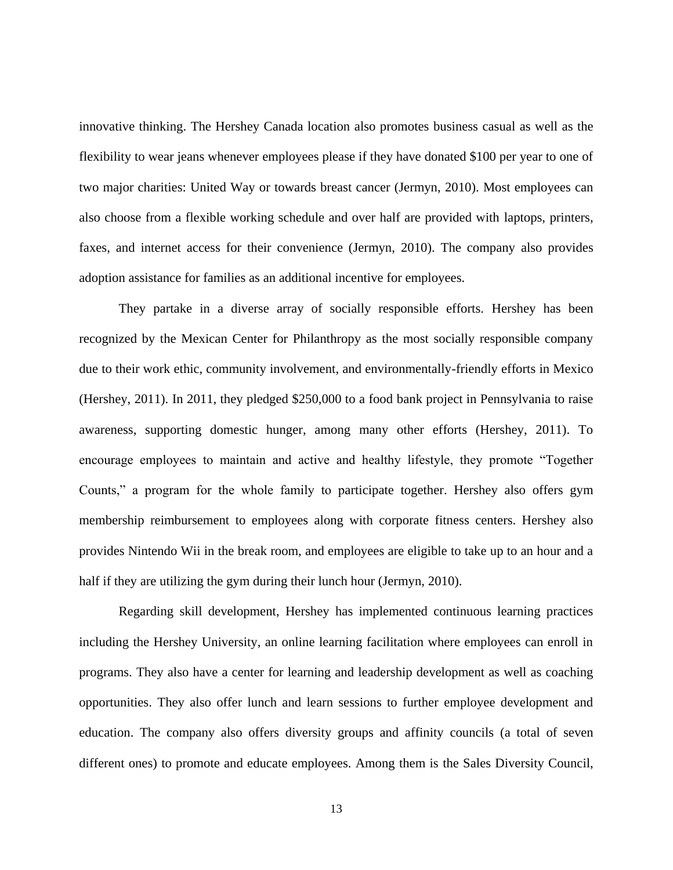innovative thinking. The Hershey Canada location also promotes business casual as well as the flexibility to wear jeans whenever employees please if they have donated \$100 per year to one of two major charities: United Way or towards breast cancer (Jermyn, 2010). Most employees can also choose from a flexible working schedule and over half are provided with laptops, printers, faxes, and internet access for their convenience (Jermyn, 2010). The company also provides adoption assistance for families as an additional incentive for employees.

They partake in a diverse array of socially responsible efforts. Hershey has been recognized by the Mexican Center for Philanthropy as the most socially responsible company due to their work ethic, community involvement, and environmentally-friendly efforts in Mexico (Hershey, 2011). In 2011, they pledged \$250,000 to a food bank project in Pennsylvania to raise awareness, supporting domestic hunger, among many other efforts (Hershey, 2011). To encourage employees to maintain and active and healthy lifestyle, they promote "Together Counts," a program for the whole family to participate together. Hershey also offers gym membership reimbursement to employees along with corporate fitness centers. Hershey also provides Nintendo Wii in the break room, and employees are eligible to take up to an hour and a half if they are utilizing the gym during their lunch hour (Jermyn, 2010).

Regarding skill development, Hershey has implemented continuous learning practices including the Hershey University, an online learning facilitation where employees can enroll in programs. They also have a center for learning and leadership development as well as coaching opportunities. They also offer lunch and learn sessions to further employee development and education. The company also offers diversity groups and affinity councils (a total of seven different ones) to promote and educate employees. Among them is the Sales Diversity Council,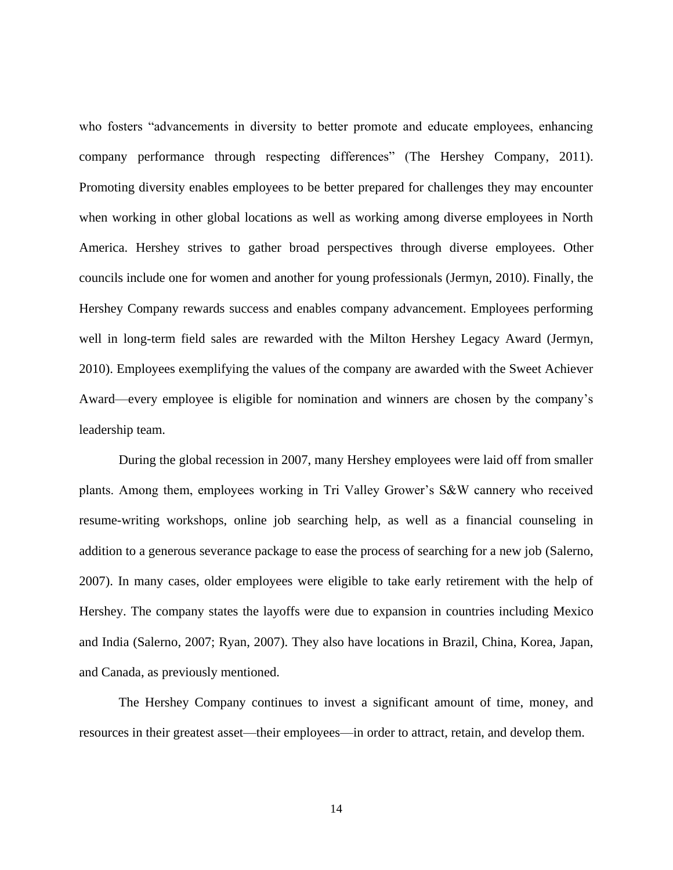who fosters "advancements in diversity to better promote and educate employees, enhancing company performance through respecting differences" (The Hershey Company, 2011). Promoting diversity enables employees to be better prepared for challenges they may encounter when working in other global locations as well as working among diverse employees in North America. Hershey strives to gather broad perspectives through diverse employees. Other councils include one for women and another for young professionals (Jermyn, 2010). Finally, the Hershey Company rewards success and enables company advancement. Employees performing well in long-term field sales are rewarded with the Milton Hershey Legacy Award (Jermyn, 2010). Employees exemplifying the values of the company are awarded with the Sweet Achiever Award—every employee is eligible for nomination and winners are chosen by the company"s leadership team.

During the global recession in 2007, many Hershey employees were laid off from smaller plants. Among them, employees working in Tri Valley Grower"s S&W cannery who received resume-writing workshops, online job searching help, as well as a financial counseling in addition to a generous severance package to ease the process of searching for a new job (Salerno, 2007). In many cases, older employees were eligible to take early retirement with the help of Hershey. The company states the layoffs were due to expansion in countries including Mexico and India (Salerno, 2007; Ryan, 2007). They also have locations in Brazil, China, Korea, Japan, and Canada, as previously mentioned.

The Hershey Company continues to invest a significant amount of time, money, and resources in their greatest asset—their employees—in order to attract, retain, and develop them.

14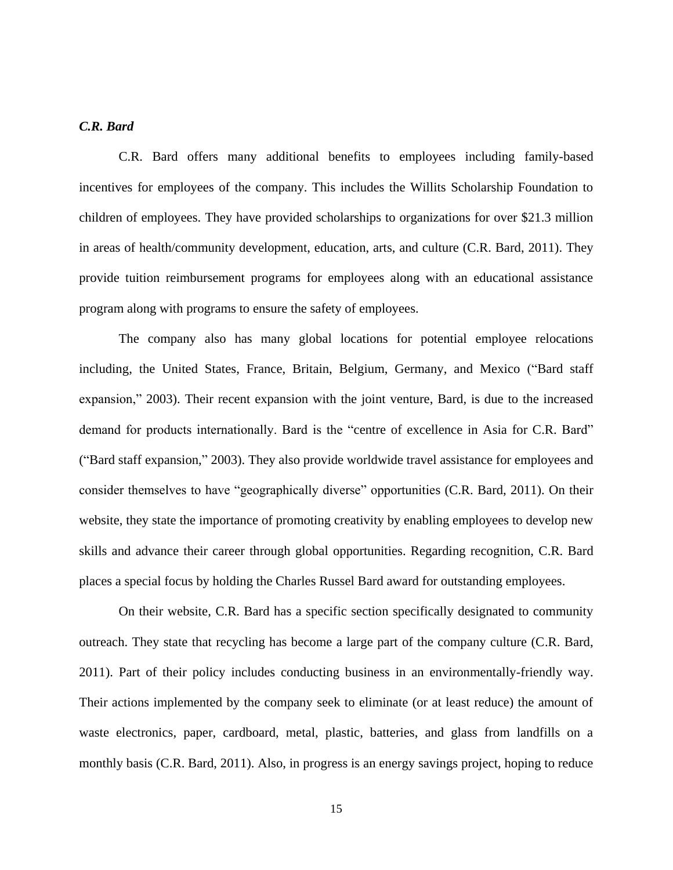## <span id="page-23-0"></span>*C.R. Bard*

C.R. Bard offers many additional benefits to employees including family-based incentives for employees of the company. This includes the Willits Scholarship Foundation to children of employees. They have provided scholarships to organizations for over \$21.3 million in areas of health/community development, education, arts, and culture (C.R. Bard, 2011). They provide tuition reimbursement programs for employees along with an educational assistance program along with programs to ensure the safety of employees.

The company also has many global locations for potential employee relocations including, the United States, France, Britain, Belgium, Germany, and Mexico ("Bard staff expansion," 2003). Their recent expansion with the joint venture, Bard, is due to the increased demand for products internationally. Bard is the "centre of excellence in Asia for C.R. Bard" ("Bard staff expansion," 2003). They also provide worldwide travel assistance for employees and consider themselves to have "geographically diverse" opportunities (C.R. Bard, 2011). On their website, they state the importance of promoting creativity by enabling employees to develop new skills and advance their career through global opportunities. Regarding recognition, C.R. Bard places a special focus by holding the Charles Russel Bard award for outstanding employees.

On their website, C.R. Bard has a specific section specifically designated to community outreach. They state that recycling has become a large part of the company culture (C.R. Bard, 2011). Part of their policy includes conducting business in an environmentally-friendly way. Their actions implemented by the company seek to eliminate (or at least reduce) the amount of waste electronics, paper, cardboard, metal, plastic, batteries, and glass from landfills on a monthly basis (C.R. Bard, 2011). Also, in progress is an energy savings project, hoping to reduce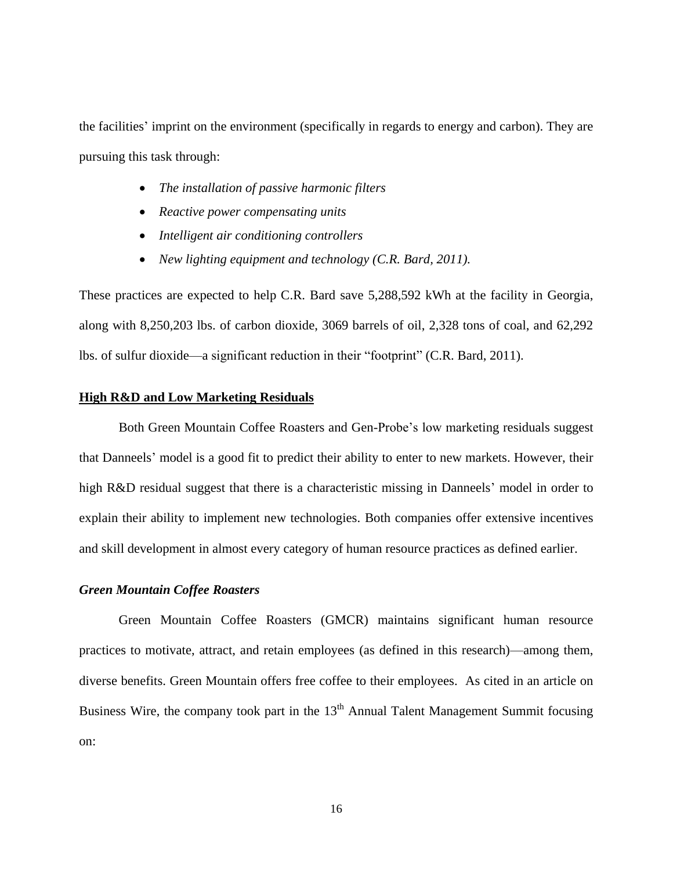the facilities' imprint on the environment (specifically in regards to energy and carbon). They are pursuing this task through:

- *The installation of passive harmonic filters*
- *Reactive power compensating units*
- *Intelligent air conditioning controllers*
- *New lighting equipment and technology (C.R. Bard, 2011).*

These practices are expected to help C.R. Bard save 5,288,592 kWh at the facility in Georgia, along with 8,250,203 lbs. of carbon dioxide, 3069 barrels of oil, 2,328 tons of coal, and 62,292 lbs. of sulfur dioxide—a significant reduction in their "footprint" (C.R. Bard, 2011).

#### <span id="page-24-0"></span>**High R&D and Low Marketing Residuals**

Both Green Mountain Coffee Roasters and Gen-Probe"s low marketing residuals suggest that Danneels" model is a good fit to predict their ability to enter to new markets. However, their high R&D residual suggest that there is a characteristic missing in Danneels' model in order to explain their ability to implement new technologies. Both companies offer extensive incentives and skill development in almost every category of human resource practices as defined earlier.

#### <span id="page-24-1"></span>*Green Mountain Coffee Roasters*

Green Mountain Coffee Roasters (GMCR) maintains significant human resource practices to motivate, attract, and retain employees (as defined in this research)—among them, diverse benefits. Green Mountain offers free coffee to their employees. As cited in an article on Business Wire, the company took part in the  $13<sup>th</sup>$  Annual Talent Management Summit focusing on: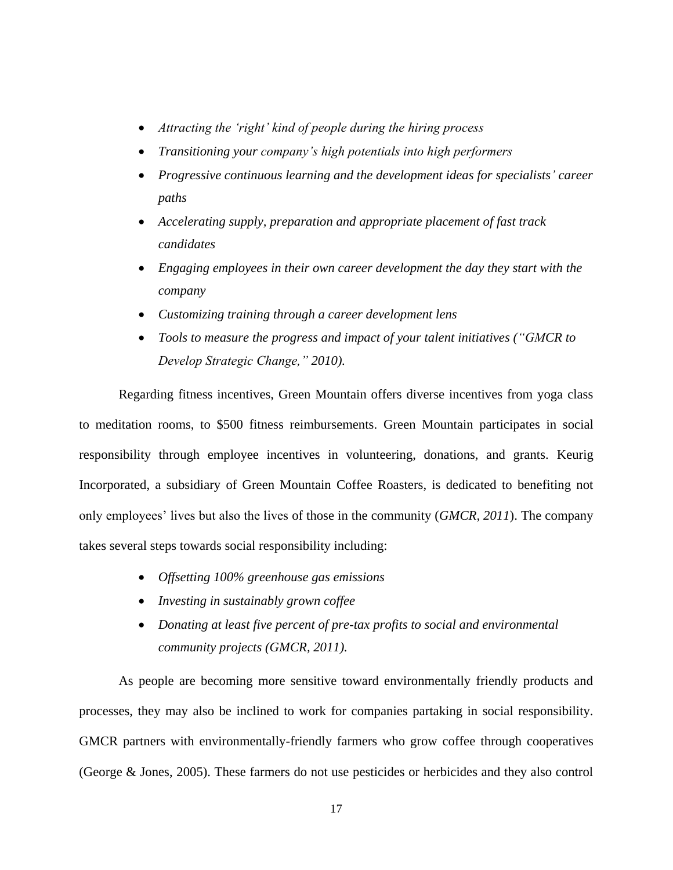- *Attracting the "right" kind of people during the hiring process*
- *Transitioning your company"s high potentials into high performers*
- *Progressive continuous learning and the development ideas for specialists" career paths*
- *Accelerating supply, preparation and appropriate placement of fast track candidates*
- *Engaging employees in their own career development the day they start with the company*
- *Customizing training through a career development lens*
- *Tools to measure the progress and impact of your talent initiatives ("GMCR to Develop Strategic Change," 2010).*

Regarding fitness incentives, Green Mountain offers diverse incentives from yoga class to meditation rooms, to \$500 fitness reimbursements. Green Mountain participates in social responsibility through employee incentives in volunteering, donations, and grants. Keurig Incorporated, a subsidiary of Green Mountain Coffee Roasters, is dedicated to benefiting not only employees" lives but also the lives of those in the community (*GMCR, 2011*). The company takes several steps towards social responsibility including:

- *Offsetting 100% greenhouse gas emissions*
- *Investing in sustainably grown coffee*
- *Donating at least five percent of pre-tax profits to social and environmental community projects (GMCR, 2011).*

As people are becoming more sensitive toward environmentally friendly products and processes, they may also be inclined to work for companies partaking in social responsibility. GMCR partners with environmentally-friendly farmers who grow coffee through cooperatives (George & Jones, 2005). These farmers do not use pesticides or herbicides and they also control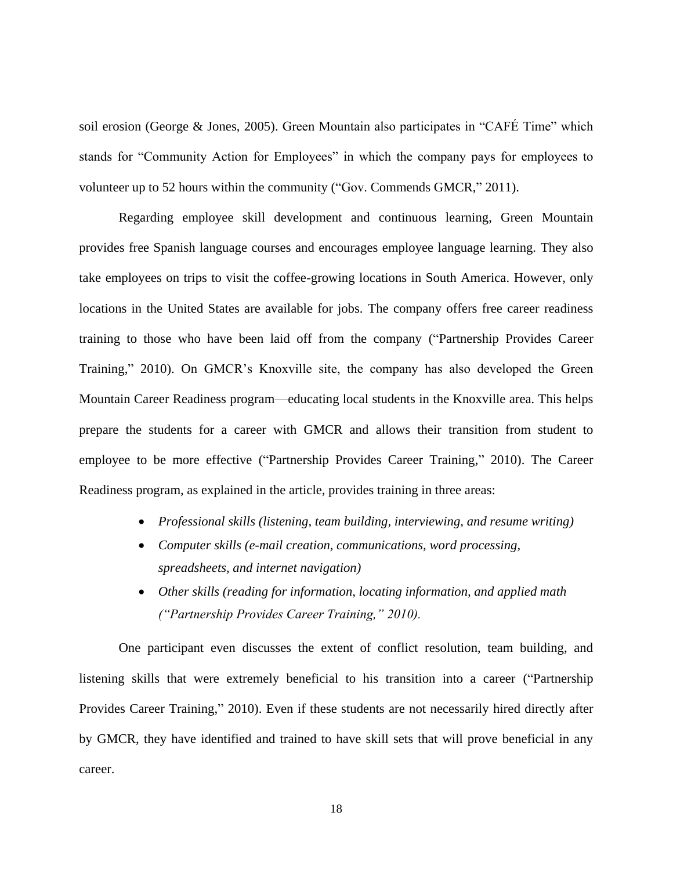soil erosion (George & Jones, 2005). Green Mountain also participates in "CAFÉ Time" which stands for "Community Action for Employees" in which the company pays for employees to volunteer up to 52 hours within the community ("Gov. Commends GMCR," 2011).

Regarding employee skill development and continuous learning, Green Mountain provides free Spanish language courses and encourages employee language learning. They also take employees on trips to visit the coffee-growing locations in South America. However, only locations in the United States are available for jobs. The company offers free career readiness training to those who have been laid off from the company ("Partnership Provides Career Training," 2010). On GMCR"s Knoxville site, the company has also developed the Green Mountain Career Readiness program—educating local students in the Knoxville area. This helps prepare the students for a career with GMCR and allows their transition from student to employee to be more effective ("Partnership Provides Career Training," 2010). The Career Readiness program, as explained in the article, provides training in three areas:

- *Professional skills (listening, team building, interviewing, and resume writing)*
- *Computer skills (e-mail creation, communications, word processing, spreadsheets, and internet navigation)*
- *Other skills (reading for information, locating information, and applied math ("Partnership Provides Career Training," 2010).*

One participant even discusses the extent of conflict resolution, team building, and listening skills that were extremely beneficial to his transition into a career ("Partnership Provides Career Training," 2010). Even if these students are not necessarily hired directly after by GMCR, they have identified and trained to have skill sets that will prove beneficial in any career.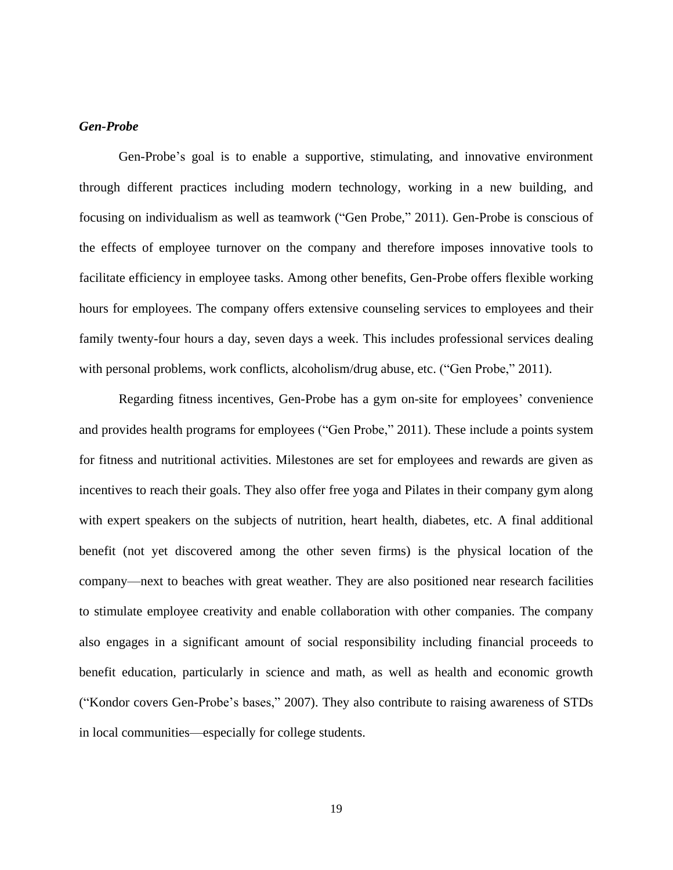#### <span id="page-27-0"></span>*Gen-Probe*

Gen-Probe's goal is to enable a supportive, stimulating, and innovative environment through different practices including modern technology, working in a new building, and focusing on individualism as well as teamwork ("Gen Probe," 2011). Gen-Probe is conscious of the effects of employee turnover on the company and therefore imposes innovative tools to facilitate efficiency in employee tasks. Among other benefits, Gen-Probe offers flexible working hours for employees. The company offers extensive counseling services to employees and their family twenty-four hours a day, seven days a week. This includes professional services dealing with personal problems, work conflicts, alcoholism/drug abuse, etc. ("Gen Probe," 2011).

Regarding fitness incentives, Gen-Probe has a gym on-site for employees" convenience and provides health programs for employees ("Gen Probe," 2011). These include a points system for fitness and nutritional activities. Milestones are set for employees and rewards are given as incentives to reach their goals. They also offer free yoga and Pilates in their company gym along with expert speakers on the subjects of nutrition, heart health, diabetes, etc. A final additional benefit (not yet discovered among the other seven firms) is the physical location of the company—next to beaches with great weather. They are also positioned near research facilities to stimulate employee creativity and enable collaboration with other companies. The company also engages in a significant amount of social responsibility including financial proceeds to benefit education, particularly in science and math, as well as health and economic growth ("Kondor covers Gen-Probe"s bases," 2007). They also contribute to raising awareness of STDs in local communities—especially for college students.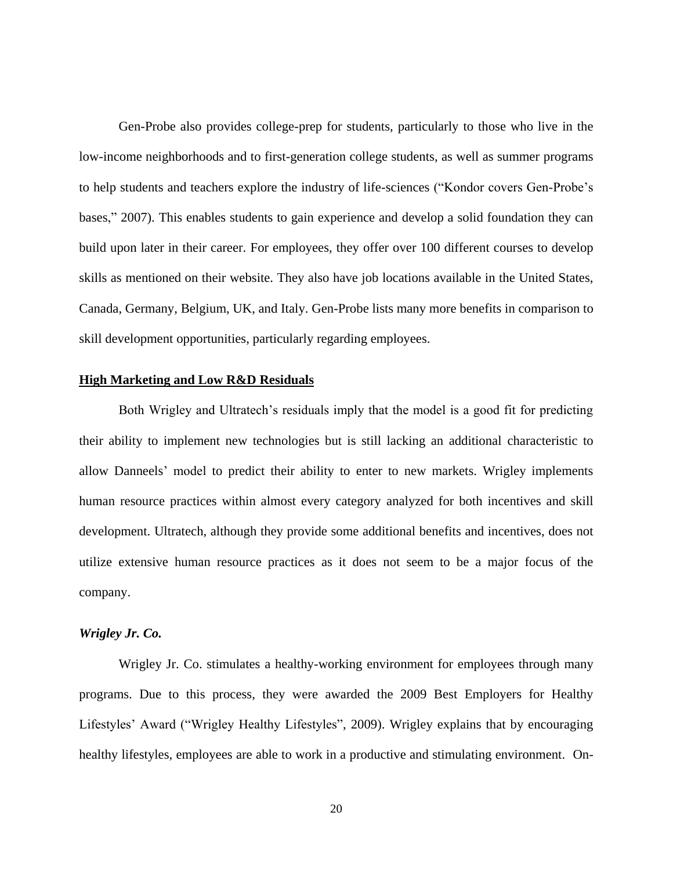Gen-Probe also provides college-prep for students, particularly to those who live in the low-income neighborhoods and to first-generation college students, as well as summer programs to help students and teachers explore the industry of life-sciences ("Kondor covers Gen-Probe"s bases," 2007). This enables students to gain experience and develop a solid foundation they can build upon later in their career. For employees, they offer over 100 different courses to develop skills as mentioned on their website. They also have job locations available in the United States, Canada, Germany, Belgium, UK, and Italy. Gen-Probe lists many more benefits in comparison to skill development opportunities, particularly regarding employees.

#### <span id="page-28-0"></span>**High Marketing and Low R&D Residuals**

Both Wrigley and Ultratech's residuals imply that the model is a good fit for predicting their ability to implement new technologies but is still lacking an additional characteristic to allow Danneels" model to predict their ability to enter to new markets. Wrigley implements human resource practices within almost every category analyzed for both incentives and skill development. Ultratech, although they provide some additional benefits and incentives, does not utilize extensive human resource practices as it does not seem to be a major focus of the company.

#### <span id="page-28-1"></span>*Wrigley Jr. Co.*

Wrigley Jr. Co. stimulates a healthy-working environment for employees through many programs. Due to this process, they were awarded the 2009 Best Employers for Healthy Lifestyles" Award ("Wrigley Healthy Lifestyles", 2009). Wrigley explains that by encouraging healthy lifestyles, employees are able to work in a productive and stimulating environment. On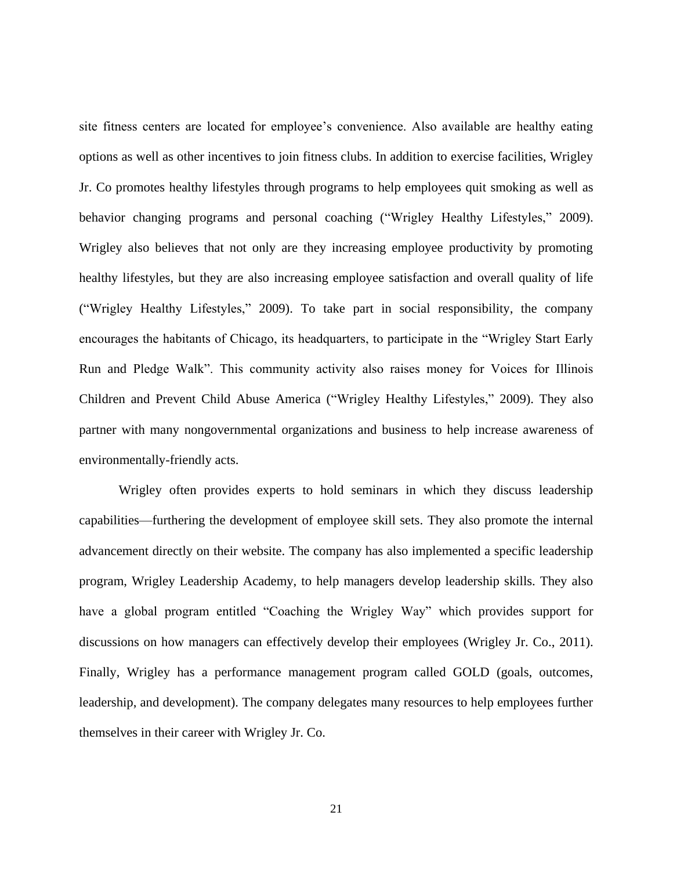site fitness centers are located for employee's convenience. Also available are healthy eating options as well as other incentives to join fitness clubs. In addition to exercise facilities, Wrigley Jr. Co promotes healthy lifestyles through programs to help employees quit smoking as well as behavior changing programs and personal coaching ("Wrigley Healthy Lifestyles," 2009). Wrigley also believes that not only are they increasing employee productivity by promoting healthy lifestyles, but they are also increasing employee satisfaction and overall quality of life ("Wrigley Healthy Lifestyles," 2009). To take part in social responsibility, the company encourages the habitants of Chicago, its headquarters, to participate in the "Wrigley Start Early Run and Pledge Walk". This community activity also raises money for Voices for Illinois Children and Prevent Child Abuse America ("Wrigley Healthy Lifestyles," 2009). They also partner with many nongovernmental organizations and business to help increase awareness of environmentally-friendly acts.

Wrigley often provides experts to hold seminars in which they discuss leadership capabilities—furthering the development of employee skill sets. They also promote the internal advancement directly on their website. The company has also implemented a specific leadership program, Wrigley Leadership Academy, to help managers develop leadership skills. They also have a global program entitled "Coaching the Wrigley Way" which provides support for discussions on how managers can effectively develop their employees (Wrigley Jr. Co., 2011). Finally, Wrigley has a performance management program called GOLD (goals, outcomes, leadership, and development). The company delegates many resources to help employees further themselves in their career with Wrigley Jr. Co.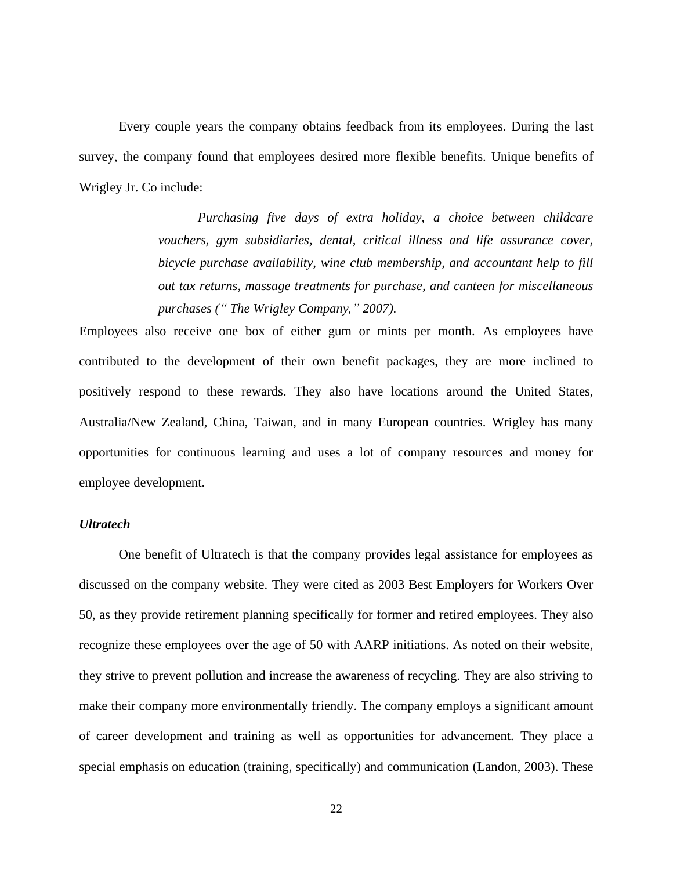Every couple years the company obtains feedback from its employees. During the last survey, the company found that employees desired more flexible benefits. Unique benefits of Wrigley Jr. Co include:

> *Purchasing five days of extra holiday, a choice between childcare vouchers, gym subsidiaries, dental, critical illness and life assurance cover, bicycle purchase availability, wine club membership, and accountant help to fill out tax returns, massage treatments for purchase, and canteen for miscellaneous purchases (" The Wrigley Company," 2007).*

Employees also receive one box of either gum or mints per month. As employees have contributed to the development of their own benefit packages, they are more inclined to positively respond to these rewards. They also have locations around the United States, Australia/New Zealand, China, Taiwan, and in many European countries. Wrigley has many opportunities for continuous learning and uses a lot of company resources and money for employee development.

#### <span id="page-30-0"></span>*Ultratech*

One benefit of Ultratech is that the company provides legal assistance for employees as discussed on the company website. They were cited as 2003 Best Employers for Workers Over 50, as they provide retirement planning specifically for former and retired employees. They also recognize these employees over the age of 50 with AARP initiations. As noted on their website, they strive to prevent pollution and increase the awareness of recycling. They are also striving to make their company more environmentally friendly. The company employs a significant amount of career development and training as well as opportunities for advancement. They place a special emphasis on education (training, specifically) and communication (Landon, 2003). These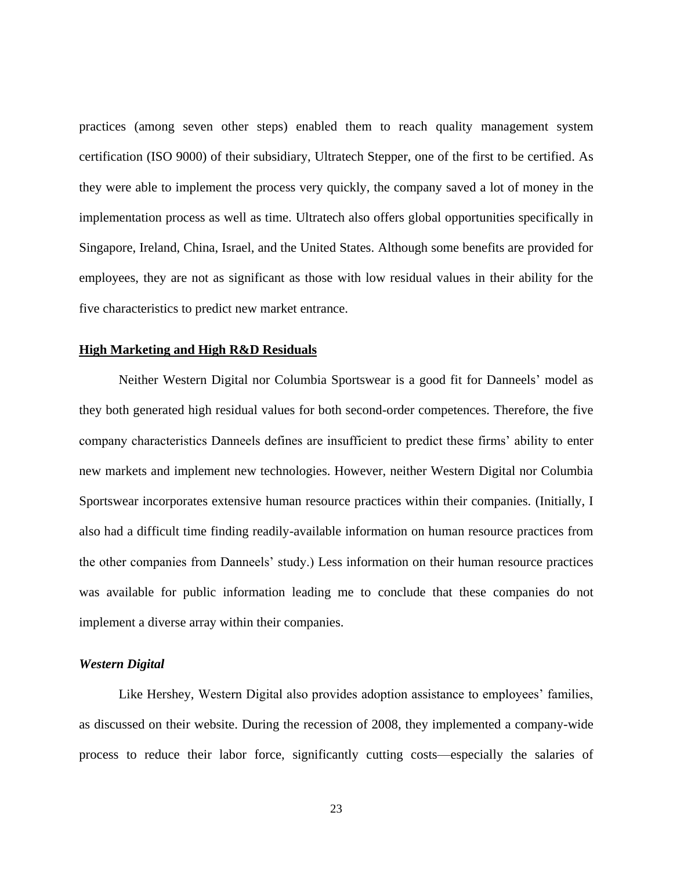practices (among seven other steps) enabled them to reach quality management system certification (ISO 9000) of their subsidiary, Ultratech Stepper, one of the first to be certified. As they were able to implement the process very quickly, the company saved a lot of money in the implementation process as well as time. Ultratech also offers global opportunities specifically in Singapore, Ireland, China, Israel, and the United States. Although some benefits are provided for employees, they are not as significant as those with low residual values in their ability for the five characteristics to predict new market entrance.

#### <span id="page-31-0"></span>**High Marketing and High R&D Residuals**

Neither Western Digital nor Columbia Sportswear is a good fit for Danneels" model as they both generated high residual values for both second-order competences. Therefore, the five company characteristics Danneels defines are insufficient to predict these firms" ability to enter new markets and implement new technologies. However, neither Western Digital nor Columbia Sportswear incorporates extensive human resource practices within their companies. (Initially, I also had a difficult time finding readily-available information on human resource practices from the other companies from Danneels" study.) Less information on their human resource practices was available for public information leading me to conclude that these companies do not implement a diverse array within their companies.

#### <span id="page-31-1"></span>*Western Digital*

Like Hershey, Western Digital also provides adoption assistance to employees' families, as discussed on their website. During the recession of 2008, they implemented a company-wide process to reduce their labor force, significantly cutting costs—especially the salaries of

23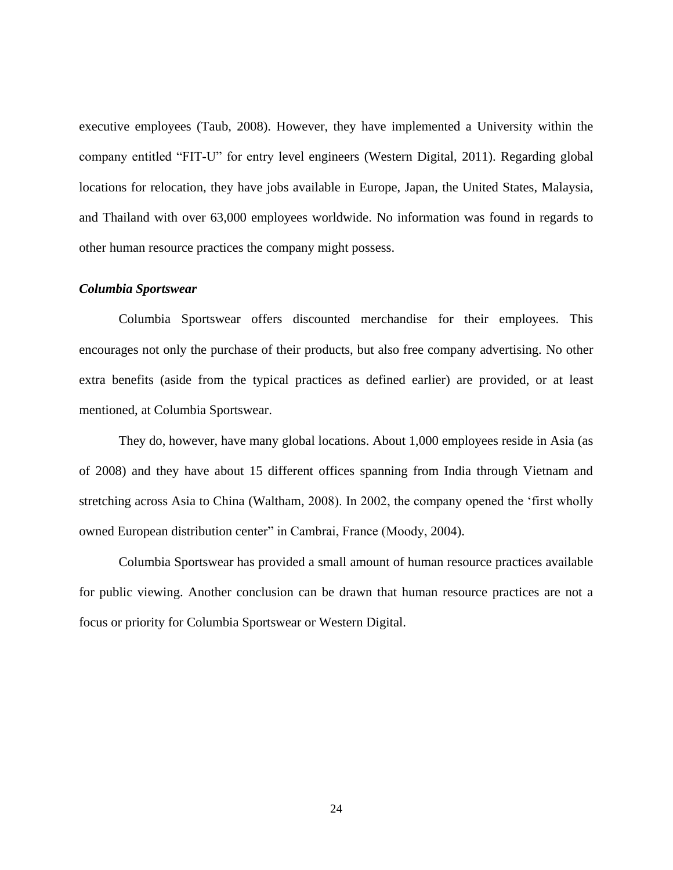executive employees (Taub, 2008). However, they have implemented a University within the company entitled "FIT-U" for entry level engineers (Western Digital, 2011). Regarding global locations for relocation, they have jobs available in Europe, Japan, the United States, Malaysia, and Thailand with over 63,000 employees worldwide. No information was found in regards to other human resource practices the company might possess.

#### <span id="page-32-0"></span>*Columbia Sportswear*

Columbia Sportswear offers discounted merchandise for their employees. This encourages not only the purchase of their products, but also free company advertising. No other extra benefits (aside from the typical practices as defined earlier) are provided, or at least mentioned, at Columbia Sportswear.

They do, however, have many global locations. About 1,000 employees reside in Asia (as of 2008) and they have about 15 different offices spanning from India through Vietnam and stretching across Asia to China (Waltham, 2008). In 2002, the company opened the "first wholly owned European distribution center" in Cambrai, France (Moody, 2004).

Columbia Sportswear has provided a small amount of human resource practices available for public viewing. Another conclusion can be drawn that human resource practices are not a focus or priority for Columbia Sportswear or Western Digital.

24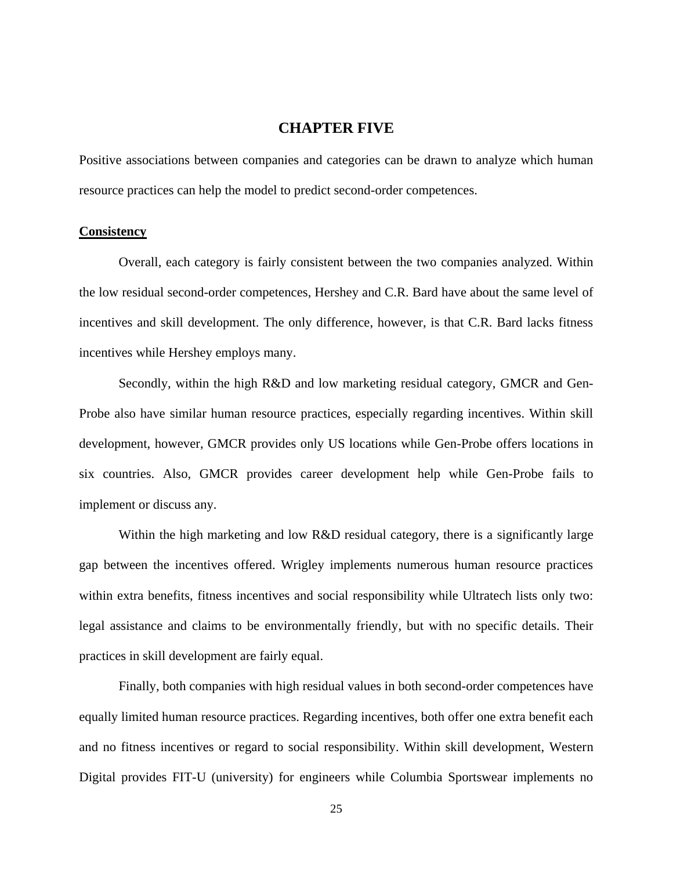## **CHAPTER FIVE**

<span id="page-33-0"></span>Positive associations between companies and categories can be drawn to analyze which human resource practices can help the model to predict second-order competences.

#### <span id="page-33-1"></span>**Consistency**

Overall, each category is fairly consistent between the two companies analyzed. Within the low residual second-order competences, Hershey and C.R. Bard have about the same level of incentives and skill development. The only difference, however, is that C.R. Bard lacks fitness incentives while Hershey employs many.

Secondly, within the high R&D and low marketing residual category, GMCR and Gen-Probe also have similar human resource practices, especially regarding incentives. Within skill development, however, GMCR provides only US locations while Gen-Probe offers locations in six countries. Also, GMCR provides career development help while Gen-Probe fails to implement or discuss any.

Within the high marketing and low R&D residual category, there is a significantly large gap between the incentives offered. Wrigley implements numerous human resource practices within extra benefits, fitness incentives and social responsibility while Ultratech lists only two: legal assistance and claims to be environmentally friendly, but with no specific details. Their practices in skill development are fairly equal.

Finally, both companies with high residual values in both second-order competences have equally limited human resource practices. Regarding incentives, both offer one extra benefit each and no fitness incentives or regard to social responsibility. Within skill development, Western Digital provides FIT-U (university) for engineers while Columbia Sportswear implements no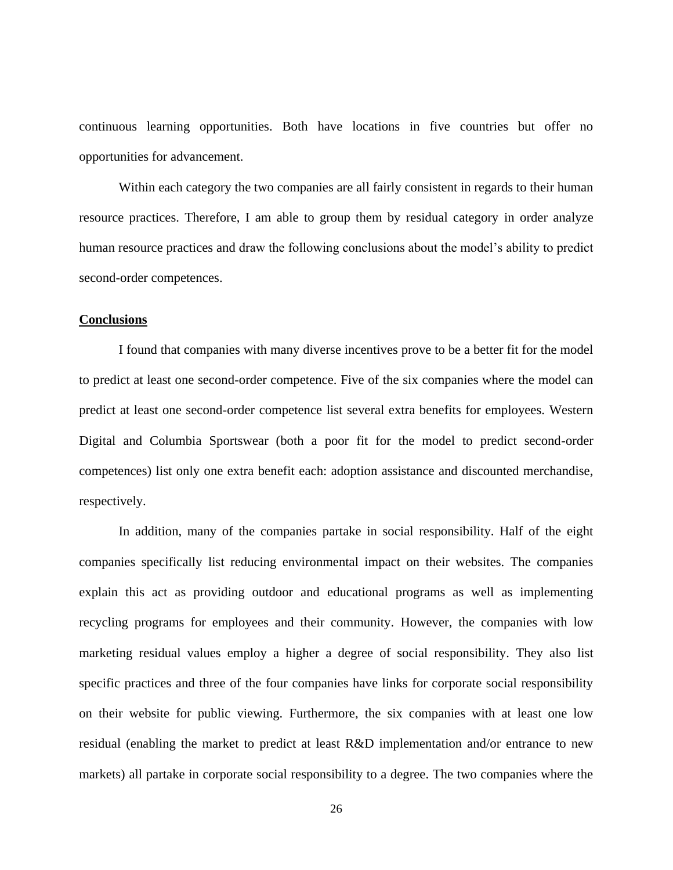continuous learning opportunities. Both have locations in five countries but offer no opportunities for advancement.

Within each category the two companies are all fairly consistent in regards to their human resource practices. Therefore, I am able to group them by residual category in order analyze human resource practices and draw the following conclusions about the model"s ability to predict second-order competences.

#### <span id="page-34-0"></span>**Conclusions**

I found that companies with many diverse incentives prove to be a better fit for the model to predict at least one second-order competence. Five of the six companies where the model can predict at least one second-order competence list several extra benefits for employees. Western Digital and Columbia Sportswear (both a poor fit for the model to predict second-order competences) list only one extra benefit each: adoption assistance and discounted merchandise, respectively.

In addition, many of the companies partake in social responsibility. Half of the eight companies specifically list reducing environmental impact on their websites. The companies explain this act as providing outdoor and educational programs as well as implementing recycling programs for employees and their community. However, the companies with low marketing residual values employ a higher a degree of social responsibility. They also list specific practices and three of the four companies have links for corporate social responsibility on their website for public viewing. Furthermore, the six companies with at least one low residual (enabling the market to predict at least R&D implementation and/or entrance to new markets) all partake in corporate social responsibility to a degree. The two companies where the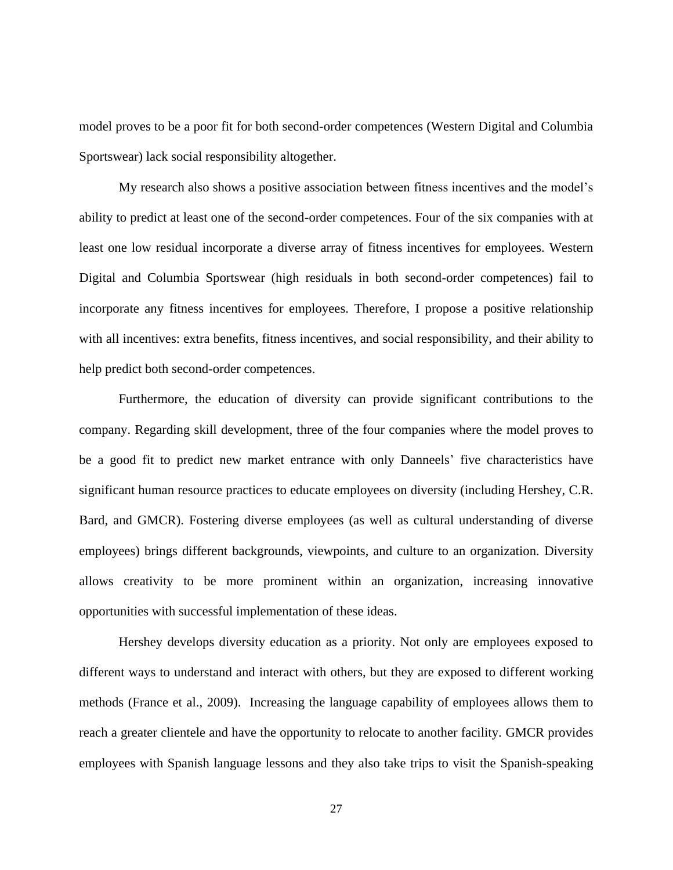model proves to be a poor fit for both second-order competences (Western Digital and Columbia Sportswear) lack social responsibility altogether.

My research also shows a positive association between fitness incentives and the model"s ability to predict at least one of the second-order competences. Four of the six companies with at least one low residual incorporate a diverse array of fitness incentives for employees. Western Digital and Columbia Sportswear (high residuals in both second-order competences) fail to incorporate any fitness incentives for employees. Therefore, I propose a positive relationship with all incentives: extra benefits, fitness incentives, and social responsibility, and their ability to help predict both second-order competences.

Furthermore, the education of diversity can provide significant contributions to the company. Regarding skill development, three of the four companies where the model proves to be a good fit to predict new market entrance with only Danneels" five characteristics have significant human resource practices to educate employees on diversity (including Hershey, C.R. Bard, and GMCR). Fostering diverse employees (as well as cultural understanding of diverse employees) brings different backgrounds, viewpoints, and culture to an organization. Diversity allows creativity to be more prominent within an organization, increasing innovative opportunities with successful implementation of these ideas.

Hershey develops diversity education as a priority. Not only are employees exposed to different ways to understand and interact with others, but they are exposed to different working methods (France et al., 2009). Increasing the language capability of employees allows them to reach a greater clientele and have the opportunity to relocate to another facility. GMCR provides employees with Spanish language lessons and they also take trips to visit the Spanish-speaking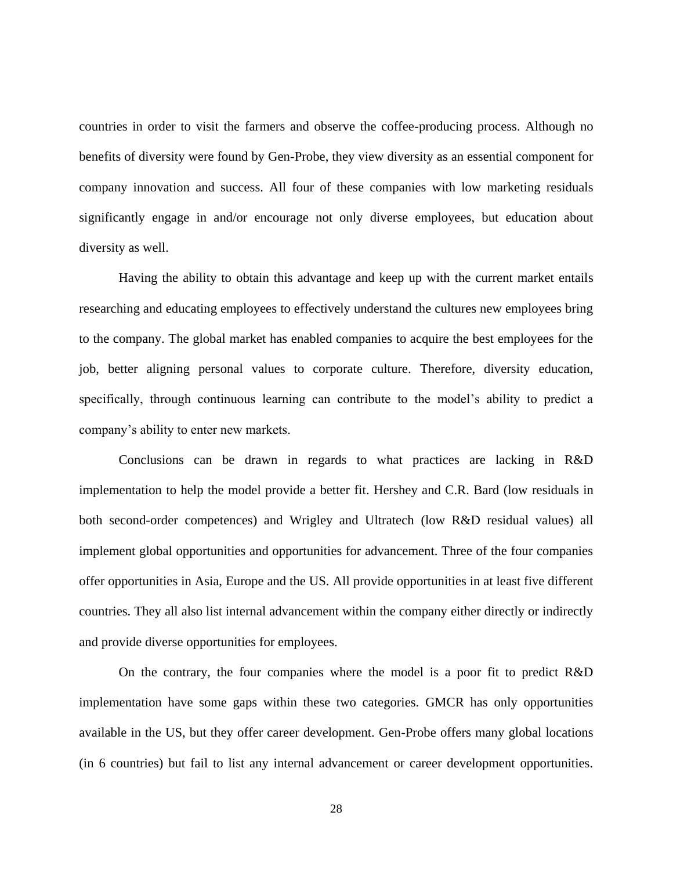countries in order to visit the farmers and observe the coffee-producing process. Although no benefits of diversity were found by Gen-Probe, they view diversity as an essential component for company innovation and success. All four of these companies with low marketing residuals significantly engage in and/or encourage not only diverse employees, but education about diversity as well.

Having the ability to obtain this advantage and keep up with the current market entails researching and educating employees to effectively understand the cultures new employees bring to the company. The global market has enabled companies to acquire the best employees for the job, better aligning personal values to corporate culture. Therefore, diversity education, specifically, through continuous learning can contribute to the model"s ability to predict a company"s ability to enter new markets.

Conclusions can be drawn in regards to what practices are lacking in R&D implementation to help the model provide a better fit. Hershey and C.R. Bard (low residuals in both second-order competences) and Wrigley and Ultratech (low R&D residual values) all implement global opportunities and opportunities for advancement. Three of the four companies offer opportunities in Asia, Europe and the US. All provide opportunities in at least five different countries. They all also list internal advancement within the company either directly or indirectly and provide diverse opportunities for employees.

On the contrary, the four companies where the model is a poor fit to predict R&D implementation have some gaps within these two categories. GMCR has only opportunities available in the US, but they offer career development. Gen-Probe offers many global locations (in 6 countries) but fail to list any internal advancement or career development opportunities.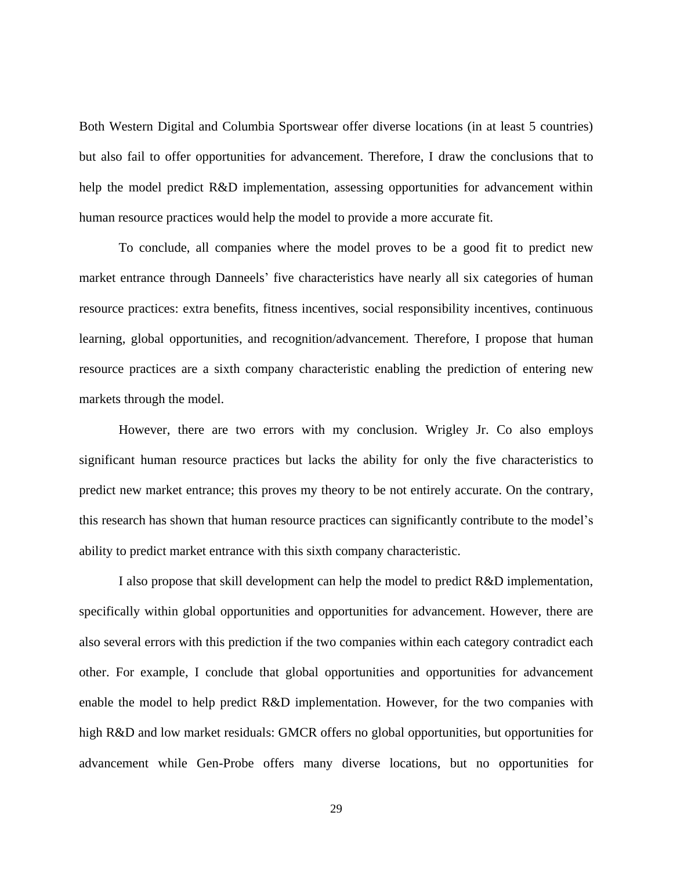Both Western Digital and Columbia Sportswear offer diverse locations (in at least 5 countries) but also fail to offer opportunities for advancement. Therefore, I draw the conclusions that to help the model predict R&D implementation, assessing opportunities for advancement within human resource practices would help the model to provide a more accurate fit.

To conclude, all companies where the model proves to be a good fit to predict new market entrance through Danneels' five characteristics have nearly all six categories of human resource practices: extra benefits, fitness incentives, social responsibility incentives, continuous learning, global opportunities, and recognition/advancement. Therefore, I propose that human resource practices are a sixth company characteristic enabling the prediction of entering new markets through the model.

However, there are two errors with my conclusion. Wrigley Jr. Co also employs significant human resource practices but lacks the ability for only the five characteristics to predict new market entrance; this proves my theory to be not entirely accurate. On the contrary, this research has shown that human resource practices can significantly contribute to the model"s ability to predict market entrance with this sixth company characteristic.

I also propose that skill development can help the model to predict R&D implementation, specifically within global opportunities and opportunities for advancement. However, there are also several errors with this prediction if the two companies within each category contradict each other. For example, I conclude that global opportunities and opportunities for advancement enable the model to help predict R&D implementation. However, for the two companies with high R&D and low market residuals: GMCR offers no global opportunities, but opportunities for advancement while Gen-Probe offers many diverse locations, but no opportunities for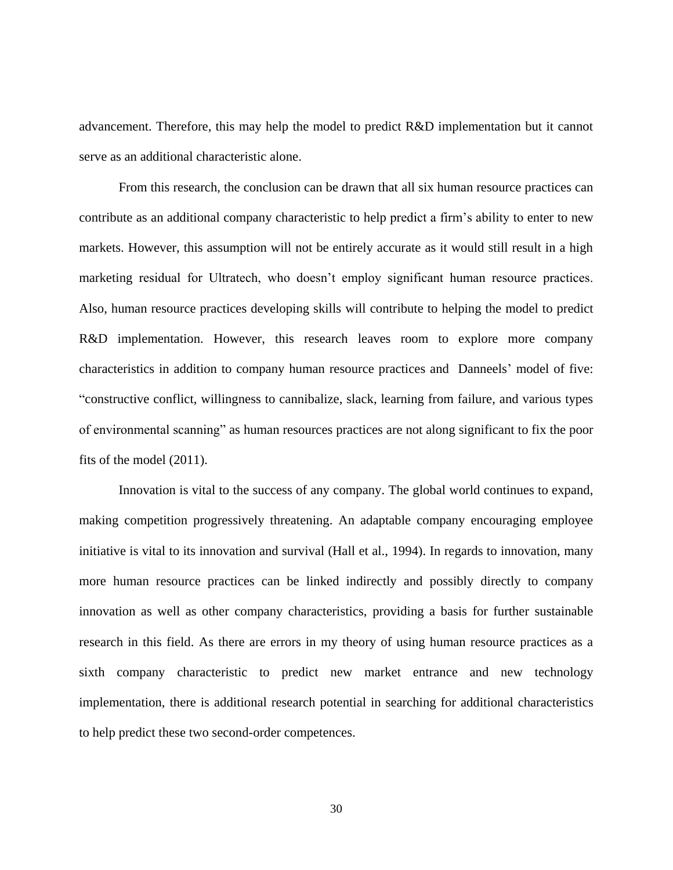advancement. Therefore, this may help the model to predict R&D implementation but it cannot serve as an additional characteristic alone.

From this research, the conclusion can be drawn that all six human resource practices can contribute as an additional company characteristic to help predict a firm"s ability to enter to new markets. However, this assumption will not be entirely accurate as it would still result in a high marketing residual for Ultratech, who doesn"t employ significant human resource practices. Also, human resource practices developing skills will contribute to helping the model to predict R&D implementation. However, this research leaves room to explore more company characteristics in addition to company human resource practices and Danneels" model of five: "constructive conflict, willingness to cannibalize, slack, learning from failure, and various types of environmental scanning" as human resources practices are not along significant to fix the poor fits of the model (2011).

Innovation is vital to the success of any company. The global world continues to expand, making competition progressively threatening. An adaptable company encouraging employee initiative is vital to its innovation and survival (Hall et al., 1994). In regards to innovation, many more human resource practices can be linked indirectly and possibly directly to company innovation as well as other company characteristics, providing a basis for further sustainable research in this field. As there are errors in my theory of using human resource practices as a sixth company characteristic to predict new market entrance and new technology implementation, there is additional research potential in searching for additional characteristics to help predict these two second-order competences.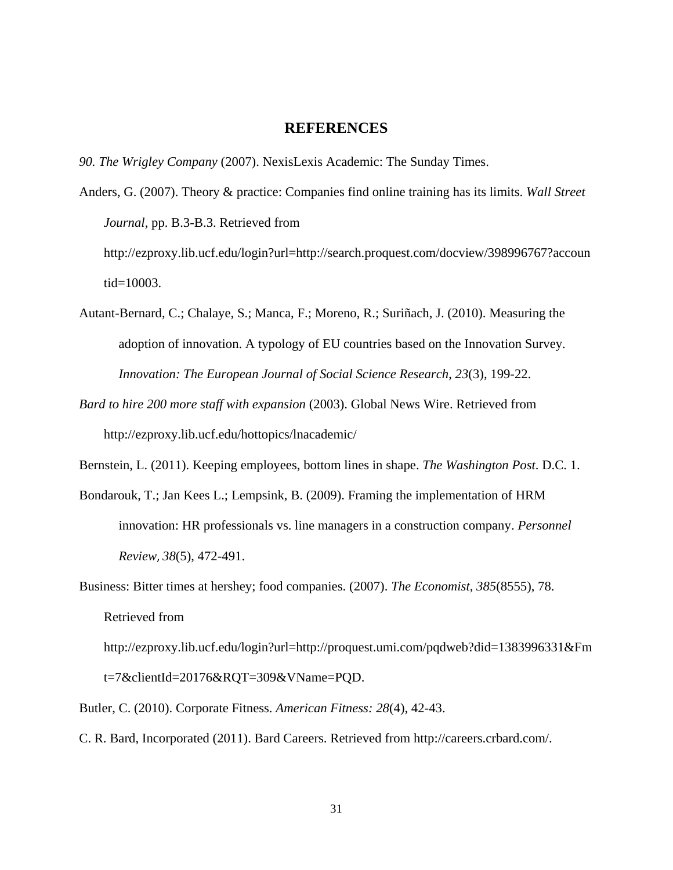## **REFERENCES**

<span id="page-39-0"></span>*90. The Wrigley Company* (2007). NexisLexis Academic: The Sunday Times.

Anders, G. (2007). Theory & practice: Companies find online training has its limits. *Wall Street Journal,* pp. B.3-B.3. Retrieved from http://ezproxy.lib.ucf.edu/login?url=http://search.proquest.com/docview/398996767?accoun tid=10003.

- Autant-Bernard, C.; Chalaye, S.; Manca, F.; Moreno, R.; Suriñach, J. (2010). Measuring the adoption of innovation. A typology of EU countries based on the Innovation Survey. *Innovation: The European Journal of Social Science Research*, *23*(3), 199-22.
- *Bard to hire 200 more staff with expansion* (2003). Global News Wire. Retrieved from http://ezproxy.lib.ucf.edu/hottopics/lnacademic/
- Bernstein, L. (2011). Keeping employees, bottom lines in shape. *The Washington Post*. D.C. 1.
- [Bondarouk, T.;](http://search.proquest.com.ezproxy.lib.ucf.edu/docview.lateralsearchlink:lateralsearch/sng/author/Bondarouk,+Tanya/$N?t:ac=214796751/130F1EE3FB92CAA51EC/11&t:cp=maintain/resultcitationblocks) [Jan Kees L.;](http://search.proquest.com.ezproxy.lib.ucf.edu/docview.lateralsearchlink:lateralsearch/sng/author/Jan+Kees+Looise/$N?t:ac=214796751/130F1EE3FB92CAA51EC/11&t:cp=maintain/resultcitationblocks) [Lempsink, B.](http://search.proquest.com.ezproxy.lib.ucf.edu/docview.lateralsearchlink:lateralsearch/sng/author/Lempsink,+Bart/$N?t:ac=214796751/130F1EE3FB92CAA51EC/11&t:cp=maintain/resultcitationblocks) (2009). Framing the implementation of HRM innovation: HR professionals vs. line managers in a construction company. *[Personnel](http://search.proquest.com.ezproxy.lib.ucf.edu/docview.lateralsearchlink_1:lateralsearch/sng/pubtitle/Personnel+Review/$N?t:ac=214796751/130F1EE3FB92CAA51EC/11&t:cp=maintain/resultcitationblocks)  [Review](http://search.proquest.com.ezproxy.lib.ucf.edu/docview.lateralsearchlink_1:lateralsearch/sng/pubtitle/Personnel+Review/$N?t:ac=214796751/130F1EE3FB92CAA51EC/11&t:cp=maintain/resultcitationblocks)*, *38*[\(5\),](http://search.proquest.com.ezproxy.lib.ucf.edu/docview.issuebrowselink:searchpublicationissue/47588/Personnel+Review/02009Y09Y01$232009$3b++Vol.+38+$285$29/38/5?t:ac=214796751/130F1EE3FB92CAA51EC/11&t:cp=maintain/resultcitationblocks) 472-491.
- Business: Bitter times at hershey; food companies. (2007). *The Economist, 385*(8555), 78. Retrieved from

http://ezproxy.lib.ucf.edu/login?url=http://proquest.umi.com/pqdweb?did=1383996331&Fm t=7&clientId=20176&RQT=309&VName=PQD.

- Butler, C. (2010). Corporate Fitness. *American Fitness: 28*(4), 42-43.
- C. R. Bard, Incorporated (2011). Bard Careers. Retrieved from http://careers.crbard.com/.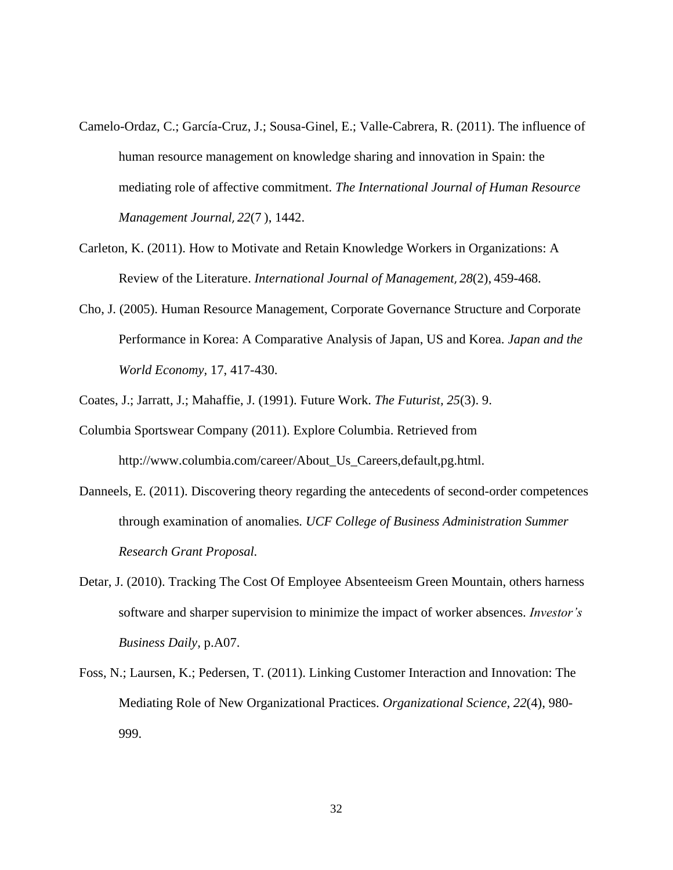- [Camelo-Ordaz, C.;](http://search.proquest.com.ezproxy.lib.ucf.edu/docview.lateralsearchlink:lateralsearch/sng/author/Camelo-Ordaz,+Carmen/$N?t:ac=865749197/130F1EE3FB92CAA51EC/2&t:cp=maintain/resultcitationblocks) [García-Cruz, J.;](http://search.proquest.com.ezproxy.lib.ucf.edu/docview.lateralsearchlink:lateralsearch/sng/author/Garc$eda-Cruz,+Joaqu$edn/$N?t:ac=865749197/130F1EE3FB92CAA51EC/2&t:cp=maintain/resultcitationblocks) [Sousa-Ginel, E.;](http://search.proquest.com.ezproxy.lib.ucf.edu/docview.lateralsearchlink:lateralsearch/sng/author/Sousa-Ginel,+Elena/$N?t:ac=865749197/130F1EE3FB92CAA51EC/2&t:cp=maintain/resultcitationblocks) [Valle-Cabrera, R.](http://search.proquest.com.ezproxy.lib.ucf.edu/docview.lateralsearchlink:lateralsearch/sng/author/Valle-Cabrera,+Ram$f3n/$N?t:ac=865749197/130F1EE3FB92CAA51EC/2&t:cp=maintain/resultcitationblocks) (2011). The influence of human resource management on knowledge sharing and innovation in Spain: the mediating role of affective commitment. *[The International Journal of Human Resource](http://search.proquest.com.ezproxy.lib.ucf.edu/docview.lateralsearchlink_1:lateralsearch/sng/pubtitle/The+International+Journal+of+Human+Resource+Management/$N?t:ac=865749197/130F1EE3FB92CAA51EC/2&t:cp=maintain/resultcitationblocks)  [Management Journal](http://search.proquest.com.ezproxy.lib.ucf.edu/docview.lateralsearchlink_1:lateralsearch/sng/pubtitle/The+International+Journal+of+Human+Resource+Management/$N?t:ac=865749197/130F1EE3FB92CAA51EC/2&t:cp=maintain/resultcitationblocks)*, *[22](http://search.proquest.com.ezproxy.lib.ucf.edu/docview.issuebrowselink:searchpublicationissue/30065/The+International+Journal+of+Human+Resource+Management/02011Y01Y01$232011$3b++Vol.+22+$287$29/22/7?t:ac=865749197/130F1EE3FB92CAA51EC/2&t:cp=maintain/resultcitationblocks)*(7 ), 1442.
- [Carleton, K.](http://search.proquest.com.ezproxy.lib.ucf.edu/docview.lateralsearchlink:lateralsearch/sng/author/Carleton,+Karen/$N?t:ac=870514210/130F281E5143084C7F8/5&t:cp=maintain/resultcitationblocks) (2011). How to Motivate and Retain Knowledge Workers in Organizations: A Review of the Literature. *[International Journal of Management](http://search.proquest.com.ezproxy.lib.ucf.edu/docview.lateralsearchlink_1:lateralsearch/sng/pubtitle/International+Journal+of+Management/$N?t:ac=870514210/130F281E5143084C7F8/5&t:cp=maintain/resultcitationblocks)*, *28*[\(2\),](http://search.proquest.com.ezproxy.lib.ucf.edu/docview.issuebrowselink:searchpublicationissue/5703/International+Journal+of+Management/02011Y06Y01$23Jun+2011$3b++Vol.+28+$282$29/28/2?t:ac=870514210/130F281E5143084C7F8/5&t:cp=maintain/resultcitationblocks) 459-468.
- Cho, J. (2005). Human Resource Management, Corporate Governance Structure and Corporate Performance in Korea: A Comparative Analysis of Japan, US and Korea. *Japan and the World Economy,* 17, 417-430.
- Coates, J.; Jarratt, J.; Mahaffie, J. (1991). Future Work. *The Futurist, 25*(3). 9.
- Columbia Sportswear Company (2011). Explore Columbia. Retrieved from http://www.columbia.com/career/About\_Us\_Careers,default,pg.html.
- Danneels, E. (2011). Discovering theory regarding the antecedents of second-order competences through examination of anomalies*. UCF College of Business Administration Summer Research Grant Proposal.*
- Detar, J. (2010). Tracking The Cost Of Employee Absenteeism Green Mountain, others harness software and sharper supervision to minimize the impact of worker absences. *Investor"s Business Daily,* p.A07.
- Foss, N.; Laursen, K.; Pedersen, T. (2011). Linking Customer Interaction and Innovation: The Mediating Role of New Organizational Practices. *Organizational Science, 22*(4), 980- 999.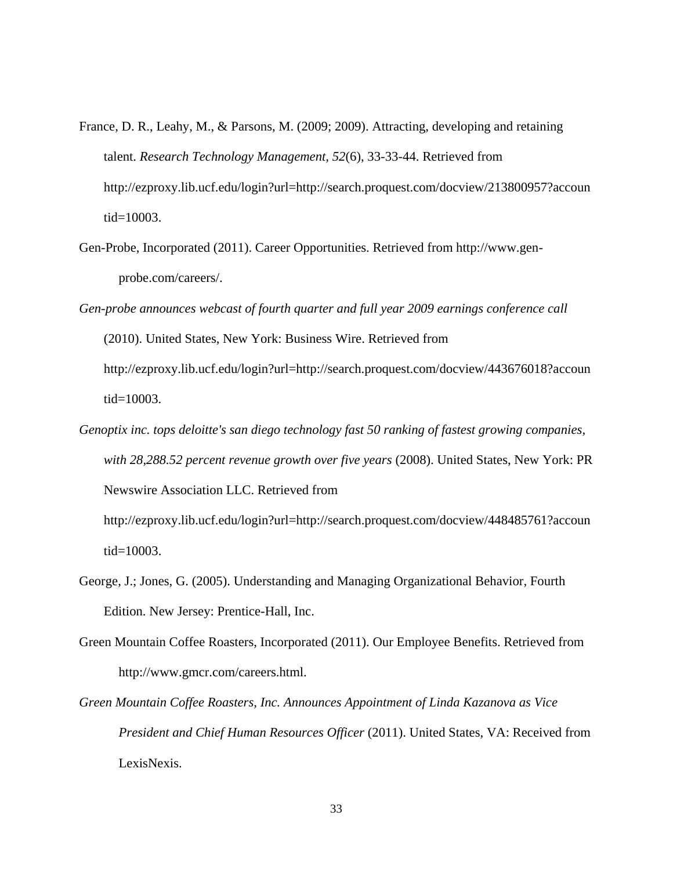- France, D. R., Leahy, M., & Parsons, M. (2009; 2009). Attracting, developing and retaining talent. *Research Technology Management, 52*(6), 33-33-44. Retrieved from http://ezproxy.lib.ucf.edu/login?url=http://search.proquest.com/docview/213800957?accoun tid=10003.
- Gen-Probe, Incorporated (2011). Career Opportunities. Retrieved from http://www.genprobe.com/careers/.
- *Gen-probe announces webcast of fourth quarter and full year 2009 earnings conference call* (2010). United States, New York: Business Wire. Retrieved from http://ezproxy.lib.ucf.edu/login?url=http://search.proquest.com/docview/443676018?accoun tid=10003.
- *Genoptix inc. tops deloitte's san diego technology fast 50 ranking of fastest growing companies, with 28,288.52 percent revenue growth over five years* (2008). United States, New York: PR Newswire Association LLC. Retrieved from

http://ezproxy.lib.ucf.edu/login?url=http://search.proquest.com/docview/448485761?accoun tid=10003.

- George, J.; Jones, G. (2005). Understanding and Managing Organizational Behavior, Fourth Edition. New Jersey: Prentice-Hall, Inc.
- Green Mountain Coffee Roasters, Incorporated (2011). Our Employee Benefits. Retrieved from http://www.gmcr.com/careers.html.
- *Green Mountain Coffee Roasters, Inc. Announces Appointment of Linda Kazanova as Vice President and Chief Human Resources Officer* (2011). United States, VA: Received from LexisNexis.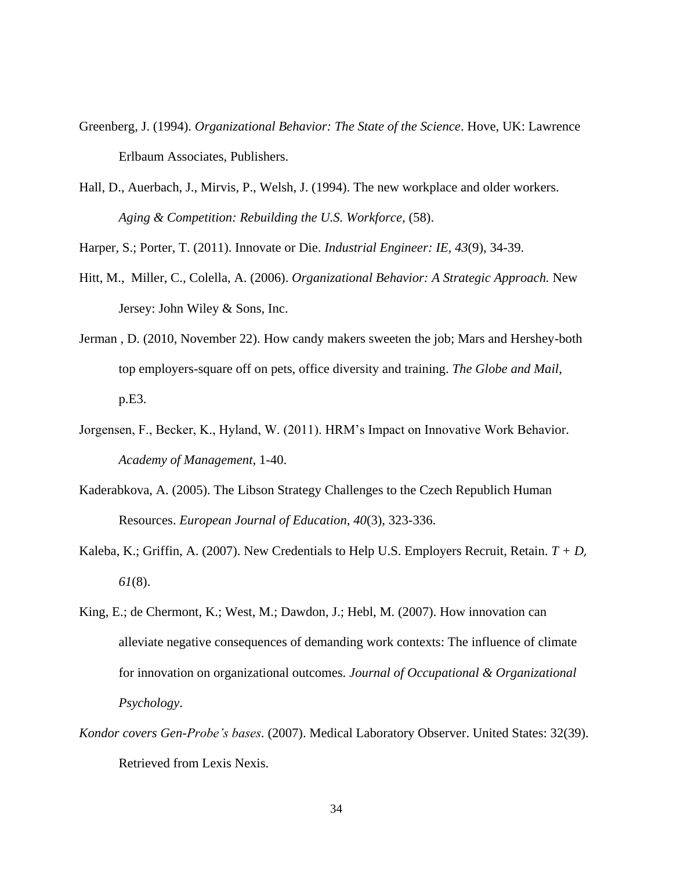- Greenberg, J. (1994). *Organizational Behavior: The State of the Science*. Hove, UK: Lawrence Erlbaum Associates, Publishers.
- Hall, D., Auerbach, J., Mirvis, P., Welsh, J. (1994). The new workplace and older workers. *Aging & Competition: Rebuilding the U.S. Workforce,* (58).

Harper, S.; Porter, T. (2011). Innovate or Die. *Industrial Engineer: IE, 43*(9), 34-39.

- Hitt, M., Miller, C., Colella, A. (2006). *Organizational Behavior: A Strategic Approach.* New Jersey: John Wiley & Sons, Inc.
- Jerman , D. (2010, November 22). How candy makers sweeten the job; Mars and Hershey-both top employers-square off on pets, office diversity and training. *The Globe and Mail,*  p.E3.
- Jorgensen, F., Becker, K., Hyland, W. (2011). HRM"s Impact on Innovative Work Behavior. *Academy of Management*, 1-40.
- Kaderabkova, A. (2005). The Libson Strategy Challenges to the Czech Republich Human Resources. *European Journal of Education*, *40*(3), 323-336.
- [Kaleba, K.;](http://search.proquest.com.ezproxy.lib.ucf.edu/docview.lateralsearchlink:lateralsearch/sng/author/Kaleba,+Kermit/$N?t:ac=227028457/130F281E5143084C7F8/1&t:cp=maintain/resultcitationblocks) [Griffin, A.](http://search.proquest.com.ezproxy.lib.ucf.edu/docview.lateralsearchlink:lateralsearch/sng/author/Griffin,+Alexandra/$N?t:ac=227028457/130F281E5143084C7F8/1&t:cp=maintain/resultcitationblocks) (2007). New Credentials to Help U.S. Employers Recruit, Retain. *[T + D](http://search.proquest.com.ezproxy.lib.ucf.edu/docview.lateralsearchlink_1:lateralsearch/sng/pubtitle/T+$2b+D/$N?t:ac=227028457/130F281E5143084C7F8/1&t:cp=maintain/resultcitationblocks)*[,](http://search.proquest.com.ezproxy.lib.ucf.edu/docview.issuebrowselink:searchpublicationissue/27021/T+$2b+D/02007Y08Y01$23Aug+2007$3b++Vol.+61+$288$29/61/8?t:ac=227028457/130F281E5143084C7F8/1&t:cp=maintain/resultcitationblocks) *61*[\(8\).](http://search.proquest.com.ezproxy.lib.ucf.edu/docview.issuebrowselink:searchpublicationissue/27021/T+$2b+D/02007Y08Y01$23Aug+2007$3b++Vol.+61+$288$29/61/8?t:ac=227028457/130F281E5143084C7F8/1&t:cp=maintain/resultcitationblocks)
- King, E.; de Chermont, K.; West, M.; Dawdon, J.; Hebl, M. (2007). How innovation can alleviate negative consequences of demanding work contexts: The influence of climate for innovation on organizational outcomes. *Journal of Occupational & Organizational Psychology*.
- *Kondor covers Gen-Probe"s bases.* (2007). Medical Laboratory Observer. United States: 32(39). Retrieved from Lexis Nexis.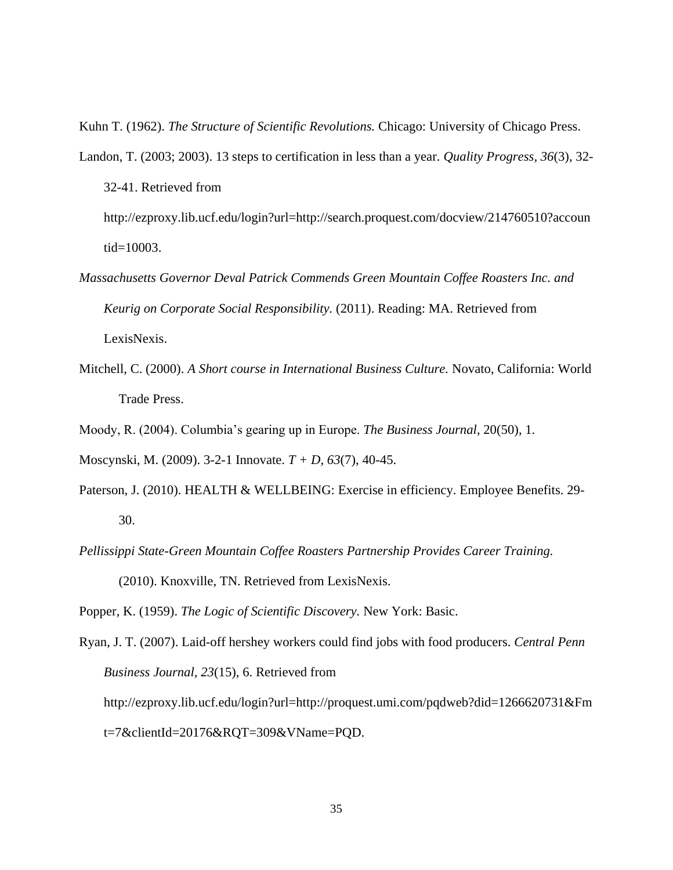Kuhn T. (1962). *The Structure of Scientific Revolutions.* Chicago: University of Chicago Press.

Landon, T. (2003; 2003). 13 steps to certification in less than a year. *Quality Progress, 36*(3), 32- 32-41. Retrieved from

http://ezproxy.lib.ucf.edu/login?url=http://search.proquest.com/docview/214760510?accoun tid=10003.

- *Massachusetts Governor Deval Patrick Commends Green Mountain Coffee Roasters Inc. and Keurig on Corporate Social Responsibility.* (2011). Reading: MA. Retrieved from LexisNexis.
- Mitchell, C. (2000). *A Short course in International Business Culture.* Novato, California: World Trade Press.
- Moody, R. (2004). Columbia"s gearing up in Europe. *The Business Journal*, 20(50), 1.

Moscynski, M. (2009). 3-2-1 Innovate. *T + D, 63*(7), 40-45.

- [Paterson, J.](http://search.proquest.com.ezproxy.lib.ucf.edu/docview.lateralsearchlink:lateralsearch/sng/author/Paterson,+Jennifer/$N?t:ac=815373591/130F25C16E09471B01/12&t:cp=maintain/resultcitationblocks) (2010). HEALTH & WELLBEING: Exercise in efficiency. [Employee Benefits.](http://search.proquest.com.ezproxy.lib.ucf.edu/docview.lateralsearchlink_1:lateralsearch/sng/pubtitle/Employee+Benefits/$N?t:ac=815373591/130F25C16E09471B01/12&t:cp=maintain/resultcitationblocks) 29-30.
- *Pellissippi State-Green Mountain Coffee Roasters Partnership Provides Career Training.* (2010). Knoxville, TN. Retrieved from LexisNexis.

Popper, K. (1959). *The Logic of Scientific Discovery.* New York: Basic.

Ryan, J. T. (2007). Laid-off hershey workers could find jobs with food producers. *Central Penn Business Journal, 23*(15), 6. Retrieved from http://ezproxy.lib.ucf.edu/login?url=http://proquest.umi.com/pqdweb?did=1266620731&Fm t=7&clientId=20176&RQT=309&VName=PQD.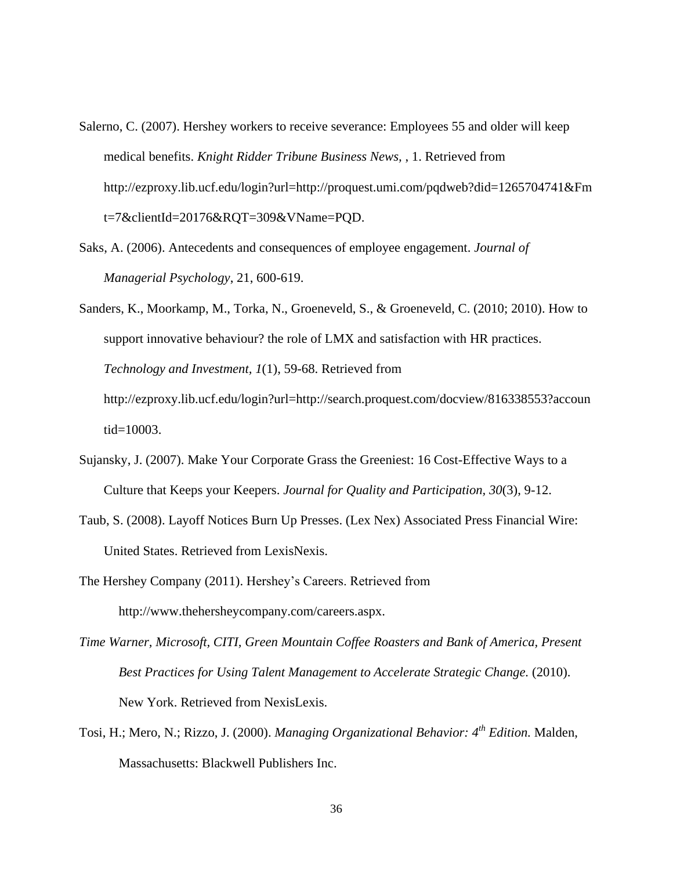- Salerno, C. (2007). Hershey workers to receive severance: Employees 55 and older will keep medical benefits. *Knight Ridder Tribune Business News,* , 1. Retrieved from http://ezproxy.lib.ucf.edu/login?url=http://proquest.umi.com/pqdweb?did=1265704741&Fm t=7&clientId=20176&RQT=309&VName=PQD.
- Saks, A. (2006). Antecedents and consequences of employee engagement. *Journal of Managerial Psychology*, 21, 600-619.
- Sanders, K., Moorkamp, M., Torka, N., Groeneveld, S., & Groeneveld, C. (2010; 2010). How to support innovative behaviour? the role of LMX and satisfaction with HR practices. *Technology and Investment, 1*(1), 59-68. Retrieved from http://ezproxy.lib.ucf.edu/login?url=http://search.proquest.com/docview/816338553?accoun tid=10003.
- Sujansky, J. (2007). Make Your Corporate Grass the Greeniest: 16 Cost-Effective Ways to a Culture that Keeps your Keepers. *Journal for Quality and Participation, 30*(3), 9-12.
- Taub, S. (2008). Layoff Notices Burn Up Presses. (Lex Nex) Associated Press Financial Wire: United States. Retrieved from LexisNexis.
- The Hershey Company (2011). Hershey"s Careers. Retrieved from http://www.thehersheycompany.com/careers.aspx.
- *Time Warner, Microsoft, CITI, Green Mountain Coffee Roasters and Bank of America, Present Best Practices for Using Talent Management to Accelerate Strategic Change.* (2010). New York. Retrieved from NexisLexis.
- Tosi, H.; Mero, N.; Rizzo, J. (2000). *Managing Organizational Behavior: 4th Edition.* Malden, Massachusetts: Blackwell Publishers Inc.